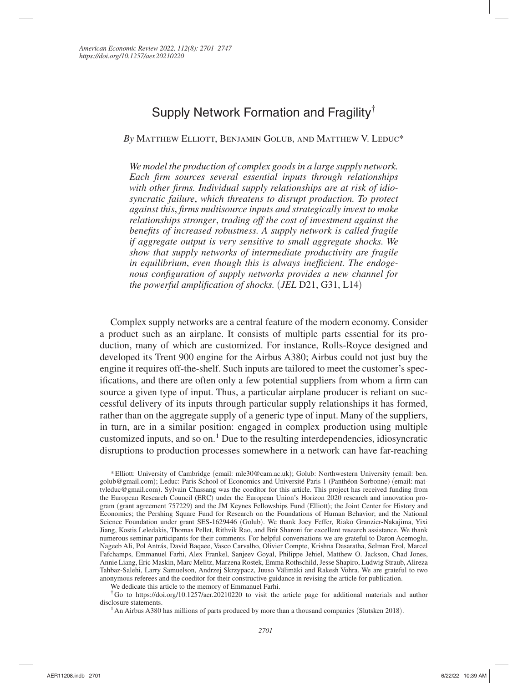# Supply Network Formation and Fragility†

*By* Matthew Elliott, Benjamin Golub, and Matthew V. Leduc\*

*We model the production of complex goods in a large supply network. Each firm sources several essential inputs through relationships with other firms. Individual supply relationships are at risk of idiosyncratic failure*, *which threatens to disrupt production. To protect against this*, *firms multisource inputs and strategically invest to make relationships stronger*, *trading off the cost of investment against the benefits of increased robustness. A supply network is called fragile if aggregate output is very sensitive to small aggregate shocks. We show that supply networks of intermediate productivity are fragile in equilibrium*, *even though this is always inefficient. The endogenous configuration of supply networks provides a new channel for the powerful amplification of shocks.* (*JEL* D21, G31, L14)

Complex supply networks are a central feature of the modern economy. Consider a product such as an airplane. It consists of multiple parts essential for its production, many of which are customized. For instance, Rolls-Royce designed and developed its Trent 900 engine for the Airbus A380; Airbus could not just buy the engine it requires off-the-shelf. Such inputs are tailored to meet the customer's specifications, and there are often only a few potential suppliers from whom a firm can source a given type of input. Thus, a particular airplane producer is reliant on successful delivery of its inputs through particular supply relationships it has formed, rather than on the aggregate supply of a generic type of input. Many of the suppliers, in turn, are in a similar position: engaged in complex production using multiple customized inputs, and so on.<sup>1</sup> Due to the resulting interdependencies, idiosyncratic disruptions to production processes somewhere in a network can have far-reaching

\* Elliott: University of Cambridge (email: mle30@cam.ac.uk); Golub: Northwestern University (email: ben. golub@gmail.com); Leduc: Paris School of Economics and Université Paris 1 (Panthéon-Sorbonne) (email: mattvleduc@gmail.com). Sylvain Chassang was the coeditor for this article. This project has received funding from the European Research Council (ERC) under the European Union's Horizon 2020 research and innovation program (grant agreement 757229) and the JM Keynes Fellowships Fund (Elliott); the Joint Center for History and Economics; the Pershing Square Fund for Research on the Foundations of Human Behavior; and the National Science Foundation under grant SES-1629446 (Golub). We thank Joey Feffer, Riako Granzier-Nakajima, Yixi Jiang, Kostis Leledakis, Thomas Pellet, Rithvik Rao, and Brit Sharoni for excellent research assistance. We thank numerous seminar participants for their comments. For helpful conversations we are grateful to Daron Acemoglu, Nageeb Ali, Pol Antrás, David Baqaee, Vasco Carvalho, Olivier Compte, Krishna Dasaratha, Selman Erol, Marcel Fafchamps, Emmanuel Farhi, Alex Frankel, Sanjeev Goyal, Philippe Jehiel, Matthew O. Jackson, Chad Jones, Annie Liang, Eric Maskin, Marc Melitz, Marzena Rostek, Emma Rothschild, Jesse Shapiro, Ludwig Straub, Alireza Tahbaz-Salehi, Larry Samuelson, Andrzej Skrzypacz, Juuso Välimäki and Rakesh Vohra. We are grateful to two anonymous referees and the coeditor for their constructive guidance in revising the article for publication.

We dedicate this article to the memory of Emmanuel Farhi.

† Go to https://doi.org/10.1257/aer.20210220 to visit the article page for additional materials and author disclosure statements.

<sup>1</sup> An Airbus A380 has millions of parts produced by more than a thousand companies (Slutsken 2018).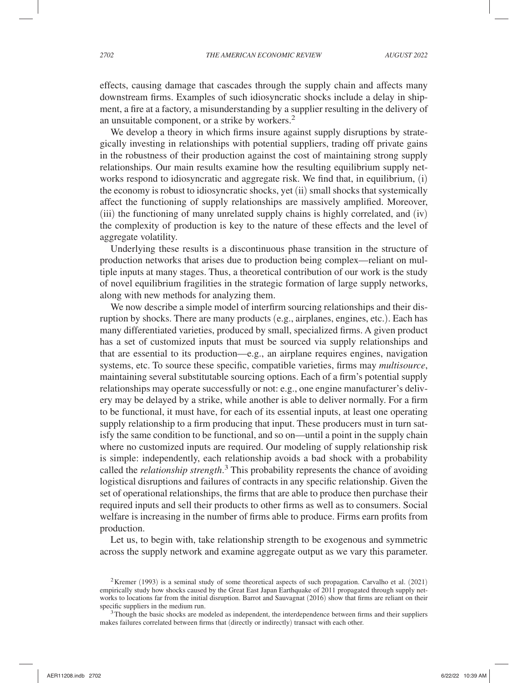effects, causing damage that cascades through the supply chain and affects many downstream firms. Examples of such idiosyncratic shocks include a delay in shipment, a fire at a factory, a misunderstanding by a supplier resulting in the delivery of an unsuitable component, or a strike by workers.2

We develop a theory in which firms insure against supply disruptions by strategically investing in relationships with potential suppliers, trading off private gains in the robustness of their production against the cost of maintaining strong supply relationships. Our main results examine how the resulting equilibrium supply networks respond to idiosyncratic and aggregate risk. We find that, in equilibrium, (i) the economy is robust to idiosyncratic shocks, yet (ii) small shocks that systemically affect the functioning of supply relationships are massively amplified. Moreover, (iii) the functioning of many unrelated supply chains is highly correlated, and (iv) the complexity of production is key to the nature of these effects and the level of aggregate volatility.

Underlying these results is a discontinuous phase transition in the structure of production networks that arises due to production being complex—reliant on multiple inputs at many stages. Thus, a theoretical contribution of our work is the study of novel equilibrium fragilities in the strategic formation of large supply networks, along with new methods for analyzing them.

We now describe a simple model of interfirm sourcing relationships and their disruption by shocks. There are many products (e.g., airplanes, engines, etc.). Each has many differentiated varieties, produced by small, specialized firms. A given product has a set of customized inputs that must be sourced via supply relationships and that are essential to its production—e.g., an airplane requires engines, navigation systems, etc. To source these specific, compatible varieties, firms may *multisource*, maintaining several substitutable sourcing options. Each of a firm's potential supply relationships may operate successfully or not: e.g., one engine manufacturer's delivery may be delayed by a strike, while another is able to deliver normally. For a firm to be functional, it must have, for each of its essential inputs, at least one operating supply relationship to a firm producing that input. These producers must in turn satisfy the same condition to be functional, and so on—until a point in the supply chain where no customized inputs are required. Our modeling of supply relationship risk is simple: independently, each relationship avoids a bad shock with a probability called the *relationship strength*. 3 This probability represents the chance of avoiding logistical disruptions and failures of contracts in any specific relationship. Given the set of operational relationships, the firms that are able to produce then purchase their required inputs and sell their products to other firms as well as to consumers. Social welfare is increasing in the number of firms able to produce. Firms earn profits from production.

Let us, to begin with, take relationship strength to be exogenous and symmetric across the supply network and examine aggregate output as we vary this parameter.

<sup>2</sup> Kremer (1993) is a seminal study of some theoretical aspects of such propagation. Carvalho et al. (2021) empirically study how shocks caused by the Great East Japan Earthquake of 2011 propagated through supply networks to locations far from the initial disruption. Barrot and Sauvagnat (2016) show that firms are reliant on their specific suppliers in the medium run.<br><sup>3</sup> Though the basic shocks are modeled as independent, the interdependence between firms and their suppliers

makes failures correlated between firms that (directly or indirectly) transact with each other.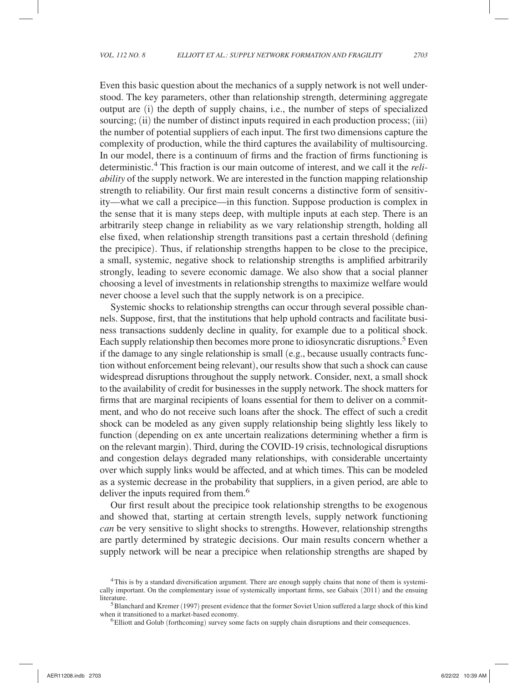Even this basic question about the mechanics of a supply network is not well understood. The key parameters, other than relationship strength, determining aggregate output are (i) the depth of supply chains, i.e., the number of steps of specialized sourcing; (ii) the number of distinct inputs required in each production process; (iii) the number of potential suppliers of each input. The first two dimensions capture the complexity of production, while the third captures the availability of multisourcing. In our model, there is a continuum of firms and the fraction of firms functioning is deterministic.<sup>4</sup> This fraction is our main outcome of interest, and we call it the *reliability* of the supply network. We are interested in the function mapping relationship strength to reliability. Our first main result concerns a distinctive form of sensitivity—what we call a precipice—in this function. Suppose production is complex in the sense that it is many steps deep, with multiple inputs at each step. There is an arbitrarily steep change in reliability as we vary relationship strength, holding all else fixed, when relationship strength transitions past a certain threshold (defining the precipice). Thus, if relationship strengths happen to be close to the precipice, a small, systemic, negative shock to relationship strengths is amplified arbitrarily strongly, leading to severe economic damage. We also show that a social planner choosing a level of investments in relationship strengths to maximize welfare would never choose a level such that the supply network is on a precipice.

Systemic shocks to relationship strengths can occur through several possible channels. Suppose, first, that the institutions that help uphold contracts and facilitate business transactions suddenly decline in quality, for example due to a political shock. Each supply relationship then becomes more prone to idiosyncratic disruptions.<sup>5</sup> Even if the damage to any single relationship is small (e.g., because usually contracts function without enforcement being relevant), our results show that such a shock can cause widespread disruptions throughout the supply network. Consider, next, a small shock to the availability of credit for businesses in the supply network. The shock matters for firms that are marginal recipients of loans essential for them to deliver on a commitment, and who do not receive such loans after the shock. The effect of such a credit shock can be modeled as any given supply relationship being slightly less likely to function (depending on ex ante uncertain realizations determining whether a firm is on the relevant margin). Third, during the COVID-19 crisis, technological disruptions and congestion delays degraded many relationships, with considerable uncertainty over which supply links would be affected, and at which times. This can be modeled as a systemic decrease in the probability that suppliers, in a given period, are able to deliver the inputs required from them.<sup>6</sup>

Our first result about the precipice took relationship strengths to be exogenous and showed that, starting at certain strength levels, supply network functioning *can* be very sensitive to slight shocks to strengths. However, relationship strengths are partly determined by strategic decisions. Our main results concern whether a supply network will be near a precipice when relationship strengths are shaped by

<sup>4</sup> This is by a standard diversification argument. There are enough supply chains that none of them is systemically important. On the complementary issue of systemically important firms, see Gabaix (2011) and the ensuing literature. 5 Blanchard and Kremer (1997) present evidence that the former Soviet Union suffered a large shock of this kind

when it transitioned to a market-based economy.<br><sup>6</sup> Elliott and Golub (forthcoming) survey some facts on supply chain disruptions and their consequences.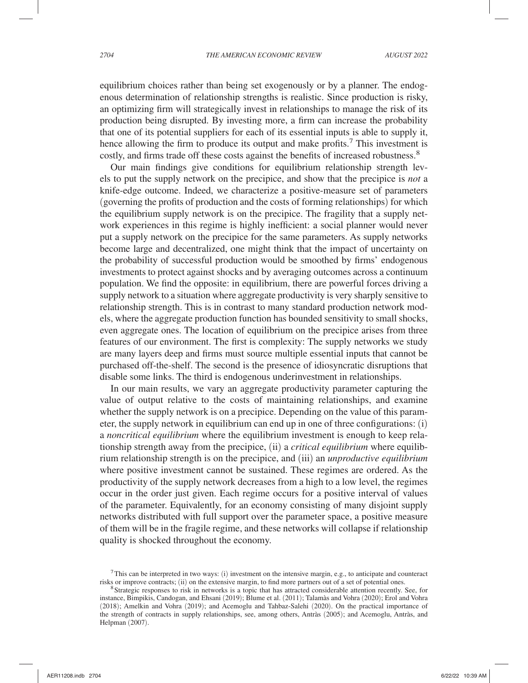equilibrium choices rather than being set exogenously or by a planner. The endogenous determination of relationship strengths is realistic. Since production is risky, an optimizing firm will strategically invest in relationships to manage the risk of its production being disrupted. By investing more, a firm can increase the probability that one of its potential suppliers for each of its essential inputs is able to supply it, hence allowing the firm to produce its output and make profits.<sup>7</sup> This investment is costly, and firms trade off these costs against the benefits of increased robustness.<sup>8</sup>

Our main findings give conditions for equilibrium relationship strength levels to put the supply network on the precipice, and show that the precipice is *not* a knife-edge outcome. Indeed, we characterize a positive-measure set of parameters (governing the profits of production and the costs of forming relationships) for which the equilibrium supply network is on the precipice. The fragility that a supply network experiences in this regime is highly inefficient: a social planner would never put a supply network on the precipice for the same parameters. As supply networks become large and decentralized, one might think that the impact of uncertainty on the probability of successful production would be smoothed by firms' endogenous investments to protect against shocks and by averaging outcomes across a continuum population. We find the opposite: in equilibrium, there are powerful forces driving a supply network to a situation where aggregate productivity is very sharply sensitive to relationship strength. This is in contrast to many standard production network models, where the aggregate production function has bounded sensitivity to small shocks, even aggregate ones. The location of equilibrium on the precipice arises from three features of our environment. The first is complexity: The supply networks we study are many layers deep and firms must source multiple essential inputs that cannot be purchased off-the-shelf. The second is the presence of idiosyncratic disruptions that disable some links. The third is endogenous underinvestment in relationships.

In our main results, we vary an aggregate productivity parameter capturing the value of output relative to the costs of maintaining relationships, and examine whether the supply network is on a precipice. Depending on the value of this parameter, the supply network in equilibrium can end up in one of three configurations: (i) a *noncritical equilibrium* where the equilibrium investment is enough to keep relationship strength away from the precipice, (ii) a *critical equilibrium* where equilibrium relationship strength is on the precipice, and (iii) an *unproductive equilibrium* where positive investment cannot be sustained. These regimes are ordered. As the productivity of the supply network decreases from a high to a low level, the regimes occur in the order just given. Each regime occurs for a positive interval of values of the parameter. Equivalently, for an economy consisting of many disjoint supply networks distributed with full support over the parameter space, a positive measure of them will be in the fragile regime, and these networks will collapse if relationship quality is shocked throughout the economy.

<sup>&</sup>lt;sup>7</sup>This can be interpreted in two ways: (i) investment on the intensive margin, e.g., to anticipate and counteract risks or improve contracts; (ii) on the extensive margin, to find more partners out of a set of potential

<sup>&</sup>lt;sup>8</sup> Strategic responses to risk in networks is a topic that has attracted considerable attention recently. See, for instance, Bimpikis, Candogan, and Ehsani (2019); Blume et al. (2011); Talamàs and Vohra (2020); Erol and Vohra (2018); Amelkin and Vohra (2019); and Acemoglu and Tahbaz-Salehi (2020). On the practical importance of the strength of contracts in supply relationships, see, among others, Antràs (2005); and Acemoglu, Antràs, and Helpman (2007).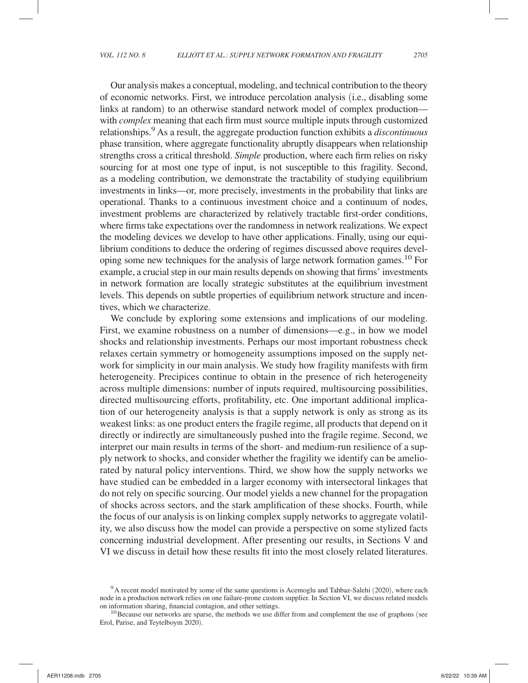Our analysis makes a conceptual, modeling, and technical contribution to the theory of economic networks. First, we introduce percolation analysis (i.e., disabling some links at random) to an otherwise standard network model of complex production with *complex* meaning that each firm must source multiple inputs through customized relationships.9 As a result, the aggregate production function exhibits a *discontinuous* phase transition, where aggregate functionality abruptly disappears when relationship strengths cross a critical threshold. *Simple* production, where each firm relies on risky sourcing for at most one type of input, is not susceptible to this fragility. Second, as a modeling contribution, we demonstrate the tractability of studying equilibrium investments in links—or, more precisely, investments in the probability that links are operational. Thanks to a continuous investment choice and a continuum of nodes, investment problems are characterized by relatively tractable first-order conditions, where firms take expectations over the randomness in network realizations. We expect the modeling devices we develop to have other applications. Finally, using our equilibrium conditions to deduce the ordering of regimes discussed above requires developing some new techniques for the analysis of large network formation games.<sup>10</sup> For example, a crucial step in our main results depends on showing that firms' investments in network formation are locally strategic substitutes at the equilibrium investment levels. This depends on subtle properties of equilibrium network structure and incentives, which we characterize.

We conclude by exploring some extensions and implications of our modeling. First, we examine robustness on a number of dimensions—e.g., in how we model shocks and relationship investments. Perhaps our most important robustness check relaxes certain symmetry or homogeneity assumptions imposed on the supply network for simplicity in our main analysis. We study how fragility manifests with firm heterogeneity. Precipices continue to obtain in the presence of rich heterogeneity across multiple dimensions: number of inputs required, multisourcing possibilities, directed multisourcing efforts, profitability, etc. One important additional implication of our heterogeneity analysis is that a supply network is only as strong as its weakest links: as one product enters the fragile regime, all products that depend on it directly or indirectly are simultaneously pushed into the fragile regime. Second, we interpret our main results in terms of the short- and medium-run resilience of a supply network to shocks, and consider whether the fragility we identify can be ameliorated by natural policy interventions. Third, we show how the supply networks we have studied can be embedded in a larger economy with intersectoral linkages that do not rely on specific sourcing. Our model yields a new channel for the propagation of shocks across sectors, and the stark amplification of these shocks. Fourth, while the focus of our analysis is on linking complex supply networks to aggregate volatility, we also discuss how the model can provide a perspective on some stylized facts concerning industrial development. After presenting our results, in Sections V and VI we discuss in detail how these results fit into the most closely related literatures.

 $9A$  recent model motivated by some of the same questions is Acemoglu and Tahbaz-Salehi (2020), where each node in a production network relies on one failure-prone custom supplier. In Section VI, we discuss related models on information sharing, financial contagion, and other settings.<br><sup>10</sup> Because our networks are sparse, the methods we use differ from and complement the use of graphons (see

Erol, Parise, and Teytelboym 2020).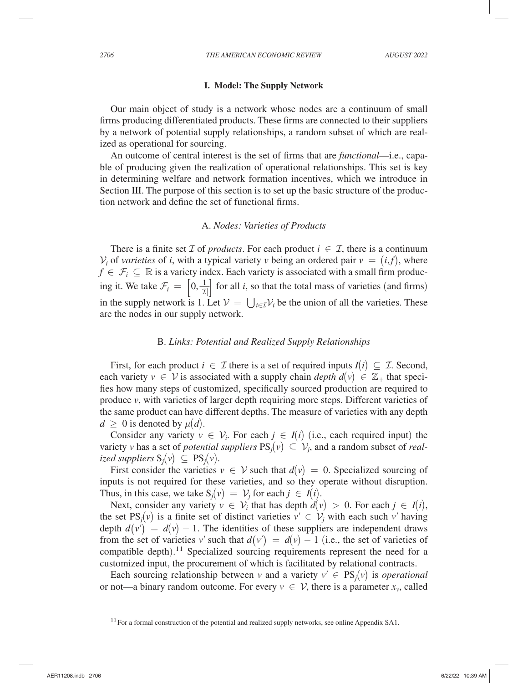#### **I. Model: The Supply Network**

Our main object of study is a network whose nodes are a continuum of small firms producing differentiated products. These firms are connected to their suppliers by a network of potential supply relationships, a random subset of which are realized as operational for sourcing.

An outcome of central interest is the set of firms that are *functional*—i.e., capable of producing given the realization of operational relationships. This set is key in determining welfare and network formation incentives, which we introduce in Section III. The purpose of this section is to set up the basic structure of the production network and define the set of functional firms.

### A. *Nodes: Varieties of Products*

There is a finite set  $\mathcal I$  of *products*. For each product  $i \in \mathcal I$ , there is a continuum  $V_i$  of *varieties* of *i*, with a typical variety *v* being an ordered pair  $v = (i, f)$ , where  $f \in \mathcal{F}_i \subseteq \mathbb{R}$  is a variety index. Each variety is associated with a small firm producing it. We take  $\mathcal{F}_i = \left[0, \frac{1}{|\mathcal{I}|}\right]$  for all *i*, so that the total mass of varieties (and firms) in the supply network is 1. Let  $V = \bigcup_{i \in \mathcal{I}} V_i$  be the union of all the varieties. These are the nodes in our supply network.

#### B. *Links: Potential and Realized Supply Relationships*

First, for each product  $i \in \mathcal{I}$  there is a set of required inputs  $I(i) \subseteq \mathcal{I}$ . Second, each variety  $v \in V$  is associated with a supply chain *depth d*( $v$ )  $\in \mathbb{Z}_+$  that specifies how many steps of customized, specifically sourced production are required to produce *v*, with varieties of larger depth requiring more steps. Different varieties of the same product can have different depths. The measure of varieties with any depth  $d \geq 0$  is denoted by  $\mu(d)$ .

Consider any variety  $v \in V_i$ . For each  $j \in I(i)$  (i.e., each required input) the variety *v* has a set of *potential suppliers*  $PS_j(v) \subseteq V_j$ , and a random subset of *realized suppliers*  $S_i(v)$  ⊂  $PS_i(v)$ .

First consider the varieties  $v \in V$  such that  $d(v) = 0$ . Specialized sourcing of inputs is not required for these varieties, and so they operate without disruption. Thus, in this case, we take  $S_j(v) = V_j$  for each  $j \in I(i)$ .

Next, consider any variety  $v \in V_i$  that has depth  $d(v) > 0$ . For each  $j \in I(i)$ , the set  $PS_j(v)$  is a finite set of distinct varieties  $v' \in V_j$  with each such  $v'$  having depth  $d(v') = d(v) - 1$ . The identities of these suppliers are independent draws from the set of varieties *v'* such that  $d(v') = d(v) - 1$  (i.e., the set of varieties of compatible depth).<sup>11</sup> Specialized sourcing requirements represent the need for a customized input, the procurement of which is facilitated by relational contracts.

Each sourcing relationship between *v* and a variety  $v' \in PS_i(v)$  is *operational* or not—a binary random outcome. For every  $v \in V$ , there is a parameter  $x_v$ , called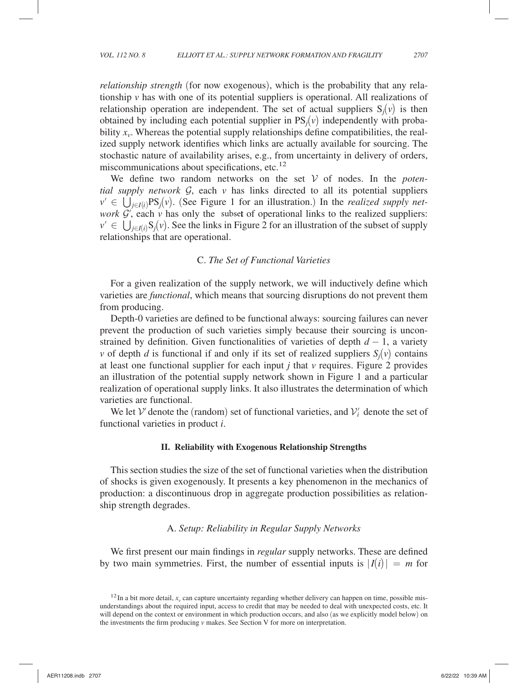*relationship strength* (for now exogenous), which is the probability that any relationship  $\nu$  has with one of its potential suppliers is operational. All realizations of relationship operation are independent. The set of actual suppliers  $S_i(v)$  is then obtained by including each potential supplier in  $PS<sub>i</sub>(v)$  independently with probability  $x<sub>v</sub>$ . Whereas the potential supply relationships define compatibilities, the realized supply network identifies which links are actually available for sourcing. The stochastic nature of availability arises, e.g., from uncertainty in delivery of orders, miscommunications about specifications, etc. $12$ 

We define two random networks on the set  $V$  of nodes. In the *potential supply network*  $G$ , each  $\nu$  has links directed to all its potential suppliers  $v' \in \bigcup_{i \in I(i)} PS_i(v)$ . (See Figure 1 for an illustration.) In the *realized supply network*  $\mathcal{G}'$ , each  $\nu$  has only the subset of operational links to the realized suppliers:  $v' \in \bigcup_{i \in I(i)} S_i(v)$ . See the links in Figure 2 for an illustration of the subset of supply relationships that are operational.

#### C. *The Set of Functional Varieties*

For a given realization of the supply network, we will inductively define which varieties are *functional*, which means that sourcing disruptions do not prevent them from producing.

Depth- 0 varieties are defined to be functional always: sourcing failures can never prevent the production of such varieties simply because their sourcing is unconstrained by definition. Given functionalities of varieties of depth  $d - 1$ , a variety *v* of depth *d* is functional if and only if its set of realized suppliers  $S_i(v)$  contains at least one functional supplier for each input *j* that *v* requires. Figure 2 provides an illustration of the potential supply network shown in Figure 1 and a particular realization of operational supply links. It also illustrates the determination of which varieties are functional.

We let  $V'$  denote the (random) set of functional varieties, and  $V'_{i}$  denote the set of functional varieties in product *i* .

#### **II. Reliability with Exogenous Relationship Strengths**

This section studies the size of the set of functional varieties when the distribution of shocks is given exogenously. It presents a key phenomenon in the mechanics of production: a discontinuous drop in aggregate production possibilities as relationship strength degrades.

### A. *Setup: Reliability in Regular Supply Networks*

We first present our main findings in *regular* supply networks. These are defined by two main symmetries. First, the number of essential inputs is  $|I(i)| = m$  for

 $12$  In a bit more detail,  $x<sub>v</sub>$  can capture uncertainty regarding whether delivery can happen on time, possible misunderstandings about the required input, access to credit that may be needed to deal with unexpected costs, etc. It will depend on the context or environment in which production occurs, and also (as we explicitly model below) on the investments the firm producing *v* makes. See Section V for more on interpretation.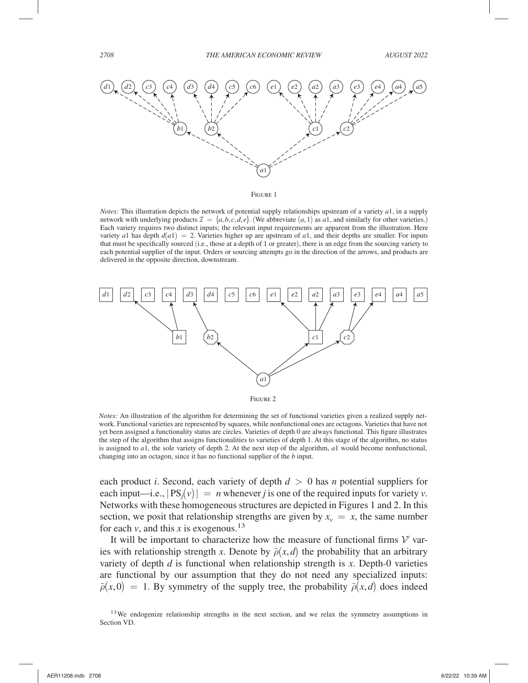

Figure 1

*Notes:* This illustration depicts the network of potential supply relationships upstream of a variety *a*1 , in a supply network with underlying products  $\mathcal{I} = \{a, b, c, d, e\}$ . (We abbreviate  $(a, 1)$  as  $a_1$ , and similarly for other varieties.) Each variety requires two distinct inputs; the relevant input requirements are apparent from the illustration. Here variety *a*1 has depth  $d(a1) = 2$ . Varieties higher up are upstream of *a*1, and their depths are smaller. For inputs that must be specifically sourced (i.e., those at a depth of 1 or greater), there is an edge from the sourcing variety to each potential supplier of the input. Orders or sourcing attempts go in the direction of the arrows, and products are delivered in the opposite direction, downstream.



*Notes:* An illustration of the algorithm for determining the set of functional varieties given a realized supply network. Functional varieties are represented by squares, while nonfunctional ones are octagons. Varieties that have not yet been assigned a functionality status are circles. Varieties of depth 0 are always functional. This figure illustrates the step of the algorithm that assigns functionalities to varieties of depth 1 . At this stage of the algorithm, no status is assigned to  $a_1$ , the sole variety of depth 2. At the next step of the algorithm,  $a_1$  would become nonfunctional, changing into an octagon, since it has no functional supplier of the *b* input.

each product *i*. Second, each variety of depth  $d > 0$  has *n* potential suppliers for each input—i.e.,  $|PS_i(v)| = n$  whenever *j* is one of the required inputs for variety *v*. Networks with these homogeneous structures are depicted in Figures 1 and 2. In this section, we posit that relationship strengths are given by  $x_v = x$ , the same number for each  $v$ , and this *x* is exogenous.<sup>13</sup>

It will be important to characterize how the measure of functional firms  $V'$  varies with relationship strength *x*. Denote by  $\tilde{\rho}(x,d)$  the probability that an arbitrary variety of depth  $d$  is functional when relationship strength is  $x$ . Depth-0 varieties are functional by our assumption that they do not need any specialized inputs:  $\tilde{\rho}(x,0) = 1$ . By symmetry of the supply tree, the probability  $\tilde{\rho}(x,d)$  does indeed

<sup>&</sup>lt;sup>13</sup> We endogenize relationship strengths in the next section, and we relax the symmetry assumptions in Section VD.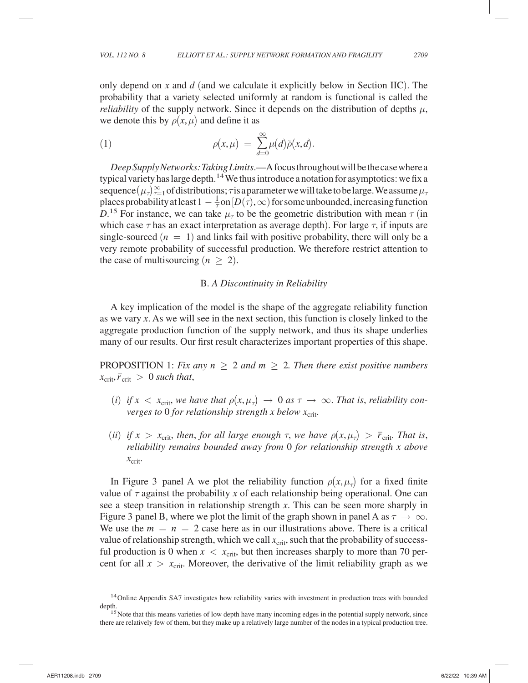only depend on *x* and *d* (and we calculate it explicitly below in Section IIC). The probability that a variety selected uniformly at random is functional is called the *reliability* of the supply network. Since it depends on the distribution of depths  $\mu$ , we denote this by  $\rho(x,\mu)$  and define it as

(1) 
$$
\rho(x,\mu) = \sum_{d=0}^{\infty} \mu(d)\tilde{\rho}(x,d).
$$

*Deep Supply Networks: Taking Limits*.—A focus throughout will be the case where a typical variety has large depth.<sup>14</sup> We thus introduce a notation for asymptotics: we fix a sequence  $(\mu_{\tau})_{\tau=1}^{\infty}$  of distributions;  $\tau$  is a parameter we will take to be large. We assume  $\mu_{\tau}$ places probability at least  $1 - \frac{1}{\tau}$  on  $[D(\tau), \infty)$  for some unbounded, increasing function  $\hat{D}$ <sup>15</sup> For instance, we can take  $\mu_{\tau}$  to be the geometric distribution with mean  $\tau$  (in which case  $\tau$  has an exact interpretation as average depth). For large  $\tau$ , if inputs are single-sourced  $(n = 1)$  and links fail with positive probability, there will only be a very remote probability of successful production. We therefore restrict attention to the case of multisourcing  $(n \geq 2)$ .

#### B. *A Discontinuity in Reliability*

A key implication of the model is the shape of the aggregate reliability function as we vary *x* . As we will see in the next section, this function is closely linked to the aggregate production function of the supply network, and thus its shape underlies many of our results. Our first result characterizes important properties of this shape.

PROPOSITION 1: *Fix any n*  $\geq$  2 *and m*  $\geq$  2*. Then there exist positive numbers*  $x_{\text{crit}}, \bar{r}_{\text{crit}} > 0$  such that,

- $(i)$  *if*  $x < x_{\text{crit}}$ , we have that  $\rho(x, \mu_{\tau}) \to 0$  as  $\tau \to \infty$ . That is, reliability con*verges to* 0 *for relationship strength x below*  $x_{\text{crit}}$ .
- (*ii*) *if*  $x > x_{\text{crit}}$ , *then*, *for all large enough*  $\tau$ , *we have*  $\rho(x, \mu_{\tau}) > \bar{r}_{\text{crit}}$ . *That is*, *reliability remains bounded away from* 0 *for relationship strength x above*  $x_{\text{crit}}$ .

In Figure 3 panel A we plot the reliability function  $\rho(x, \mu_{\tau})$  for a fixed finite value of  $\tau$  against the probability *x* of each relationship being operational. One can see a steep transition in relationship strength *x* . This can be seen more sharply in Figure 3 panel B, where we plot the limit of the graph shown in panel A as  $\tau \to \infty$ . We use the  $m = n = 2$  case here as in our illustrations above. There is a critical value of relationship strength, which we call  $x<sub>crit</sub>$ , such that the probability of successful production is 0 when  $x < x_{\text{crit}}$ , but then increases sharply to more than 70 percent for all  $x > x_{\text{crit}}$ . Moreover, the derivative of the limit reliability graph as we

<sup>&</sup>lt;sup>14</sup> Online Appendix SA7 investigates how reliability varies with investment in production trees with bounded depth.<br><sup>15</sup> Note that this means varieties of low depth have many incoming edges in the potential supply network, since

there are relatively few of them, but they make up a relatively large number of the nodes in a typical production tree.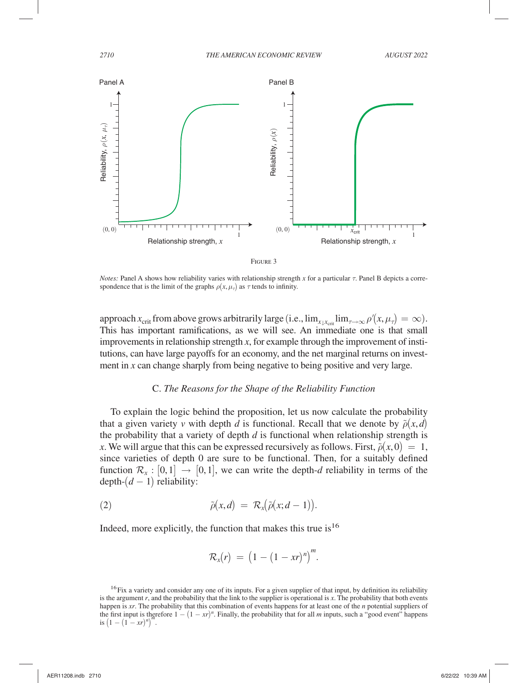

|--|--|

*Notes:* Panel A shows how reliability varies with relationship strength *x* for a particular  $\tau$ . Panel B depicts a correspondence that is the limit of the graphs  $\rho(x, \mu_{\tau})$  as  $\tau$  tends to infinity.

approach  $x_{\text{crit}}$  from above grows arbitrarily large (i.e.,  $\lim_{x \downarrow x_{\text{crit}}} \lim_{\tau \to \infty} \rho'(x, \mu_{\tau}) = \infty$ ). This has important ramifications, as we will see. An immediate one is that small improvements in relationship strength *x* , for example through the improvement of institutions, can have large payoffs for an economy, and the net marginal returns on investment in *x* can change sharply from being negative to being positive and very large.

### C. *The Reasons for the Shape of the Reliability Function*

To explain the logic behind the proposition, let us now calculate the probability that a given variety *v* with depth *d* is functional. Recall that we denote by  $\tilde{\rho}(x, d)$ the probability that a variety of depth *d* is functional when relationship strength is *x*. We will argue that this can be expressed recursively as follows. First,  $\tilde{\rho}(x,0) = 1$ , since varieties of depth 0 are sure to be functional. Then, for a suitably defined function  $\mathcal{R}_x$ :  $[0,1] \rightarrow [0,1]$ , we can write the depth-*d* reliability in terms of the  $depth-(d-1)$  reliability:

(2) 
$$
\tilde{\rho}(x,d) = \mathcal{R}_x(\tilde{\rho}(x;d-1)).
$$

Indeed, more explicitly, the function that makes this true is  $16$ 

$$
\mathcal{R}_x(r) = \big(1-(1-xr)^n\big)^m.
$$

<sup>&</sup>lt;sup>16</sup> Fix a variety and consider any one of its inputs. For a given supplier of that input, by definition its reliability is the argument *r*, and the probability that the link to the supplier is operational is *x*. The probability that both events happen is *xr*. The probability that this combination of events happens for at least one of the *n* potential suppliers of the first input is therefore  $1 - (1 - xr)^n$ . Finally, the probability that for all *m* inputs, such a "good event" happens is  $(1-(1-xr)^n)^m$ .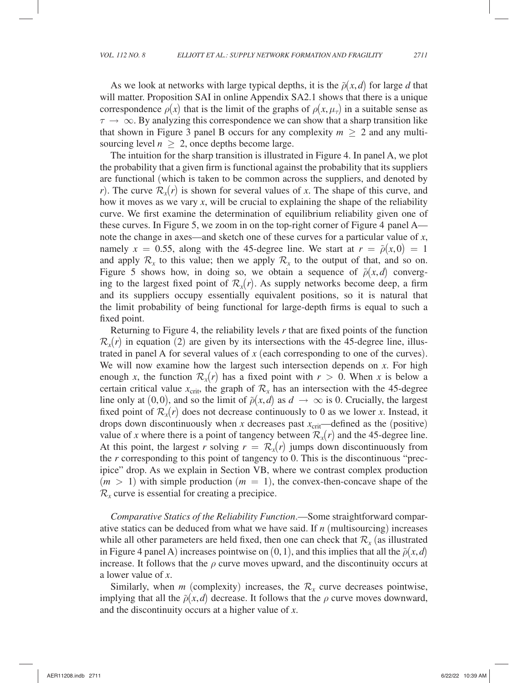As we look at networks with large typical depths, it is the  $\tilde{\rho}(x, d)$  for large *d* that will matter. Proposition SAI in online Appendix SA2.1 shows that there is a unique correspondence  $\rho(x)$  that is the limit of the graphs of  $\rho(x, \mu_{\tau})$  in a suitable sense as  $\tau \rightarrow \infty$ . By analyzing this correspondence we can show that a sharp transition like that shown in Figure 3 panel B occurs for any complexity  $m > 2$  and any multisourcing level  $n \geq 2$ , once depths become large.

The intuition for the sharp transition is illustrated in Figure 4. In panel A, we plot the probability that a given firm is functional against the probability that its suppliers are functional (which is taken to be common across the suppliers, and denoted by *r*). The curve  $\mathcal{R}_r(r)$  is shown for several values of *x*. The shape of this curve, and how it moves as we vary  $x$ , will be crucial to explaining the shape of the reliability curve. We first examine the determination of equilibrium reliability given one of these curves. In Figure 5, we zoom in on the top-right corner of Figure 4 panel A note the change in axes—and sketch one of these curves for a particular value of x, namely  $x = 0.55$ , along with the 45-degree line. We start at  $r = \tilde{\rho}(x,0) = 1$ and apply  $\mathcal{R}_x$  to this value; then we apply  $\mathcal{R}_x$  to the output of that, and so on. Figure 5 shows how, in doing so, we obtain a sequence of  $\tilde{\rho}(x,d)$  converging to the largest fixed point of  $\mathcal{R}_r(r)$ . As supply networks become deep, a firm and its suppliers occupy essentially equivalent positions, so it is natural that the limit probability of being functional for large-depth firms is equal to such a fixed point.

Returning to Figure 4, the reliability levels *r* that are fixed points of the function  $\mathcal{R}_x(r)$  in equation (2) are given by its intersections with the 45-degree line, illustrated in panel A for several values of *x* (each corresponding to one of the curves). We will now examine how the largest such intersection depends on *x*. For high enough *x*, the function  $\mathcal{R}_x(r)$  has a fixed point with  $r > 0$ . When *x* is below a certain critical value  $x_{\text{crit}}$ , the graph of  $\mathcal{R}_x$  has an intersection with the 45-degree line only at  $(0,0)$ , and so the limit of  $\tilde{\rho}(x,d)$  as  $d \to \infty$  is 0. Crucially, the largest fixed point of  $\mathcal{R}_r(r)$  does not decrease continuously to 0 as we lower *x*. Instead, it drops down discontinuously when  $x$  decreases past  $x_{\text{crit}}$ —defined as the (positive) value of *x* where there is a point of tangency between  $\mathcal{R}_x(r)$  and the 45-degree line. At this point, the largest *r* solving  $r = \mathcal{R}_x(r)$  jumps down discontinuously from the *r* corresponding to this point of tangency to 0. This is the discontinuous "precipice" drop. As we explain in Section VB, where we contrast complex production  $(m > 1)$  with simple production  $(m = 1)$ , the convex-then-concave shape of the  $\mathcal{R}_r$  curve is essential for creating a precipice.

*Comparative Statics of the Reliability Function*.—Some straightforward comparative statics can be deduced from what we have said. If *n* (multisourcing) increases while all other parameters are held fixed, then one can check that  $\mathcal{R}_r$  (as illustrated in Figure 4 panel A) increases pointwise on  $(0,1)$ , and this implies that all the  $\tilde{\rho}(x,d)$ increase. It follows that the  $\rho$  curve moves upward, and the discontinuity occurs at a lower value of *x* .

Similarly, when *m* (complexity) increases, the  $\mathcal{R}_x$  curve decreases pointwise, implying that all the  $\tilde{\rho}(x, d)$  decrease. It follows that the  $\rho$  curve moves downward, and the discontinuity occurs at a higher value of *x* .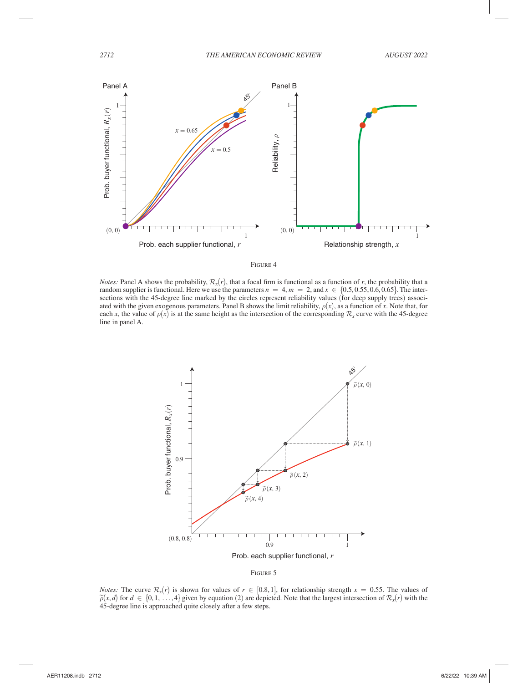



*Notes:* Panel A shows the probability,  $\mathcal{R}_x(r)$ , that a focal firm is functional as a function of *r*, the probability that a random supplier is functional. Here we use the parameters  $n = 4$ ,  $m = 2$ , and  $x \in \{0.5, 0.55, 0.6, 0.65\}$ . The intersections with the 45-degree line marked by the circles represent reliability values (for deep supply trees) associated with the given exogenous parameters. Panel B shows the limit reliability,  $\rho(x)$ , as a function of *x*. Note that, for each *x*, the value of  $\rho(x)$  is at the same height as the intersection of the corresponding  $\mathcal{R}_r$  curve with the 45-degree line in panel A.





*Notes:* The curve  $\mathcal{R}_x(r)$  is shown for values of  $r \in [0.8, 1]$ , for relationship strength  $x = 0.55$ . The values of  $\tilde{\rho}(x,d)$  for  $d \in \{0,1,\ldots,4\}$  given by equation (2) are depicted. Note that the largest intersect 45-degree line is approached quite closely after a few steps.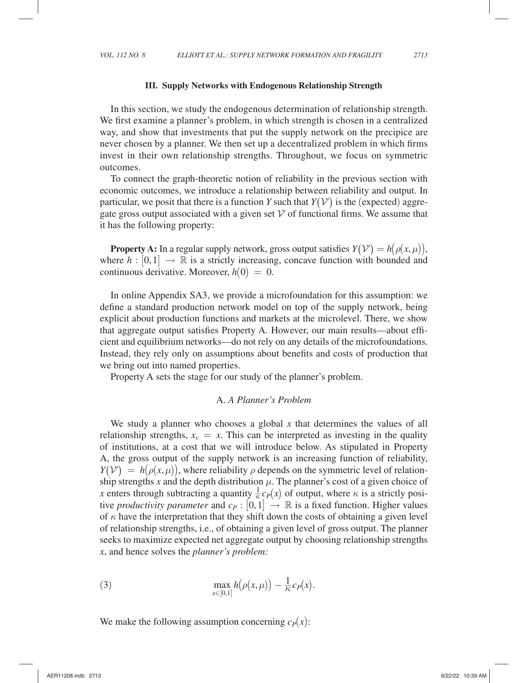### **III. Supply Networks with Endogenous Relationship Strength**

In this section, we study the endogenous determination of relationship strength. We first examine a planner's problem, in which strength is chosen in a centralized way, and show that investments that put the supply network on the precipice are never chosen by a planner. We then set up a decentralized problem in which firms invest in their own relationship strengths. Throughout, we focus on symmetric outcomes.

To connect the graph-theoretic notion of reliability in the previous section with economic outcomes, we introduce a relationship between reliability and output. In particular, we posit that there is a function *Y* such that  $Y(V')$  is the (expected) aggregate gross output associated with a given set  $V'$  of functional firms. We assume that it has the following property:

**Property A:** In a regular supply network, gross output satisfies  $Y(V') = h(\rho(x, \mu)),$ where  $h: [0,1] \rightarrow \mathbb{R}$  is a strictly increasing, concave function with bounded and continuous derivative. Moreover,  $h(0) = 0$ .

In online Appendix SA3, we provide a microfoundation for this assumption: we define a standard production network model on top of the supply network, being explicit about production functions and markets at the microlevel. There, we show that aggregate output satisfies Property A. However, our main results—about efficient and equilibrium networks—do not rely on any details of the microfoundations. Instead, they rely only on assumptions about benefits and costs of production that we bring out into named properties.

Property A sets the stage for our study of the planner's problem.

## A. *A Planner's Problem*

We study a planner who chooses a global *x* that determines the values of all relationship strengths,  $x_v = x$ . This can be interpreted as investing in the quality of institutions, at a cost that we will introduce below. As stipulated in Property A, the gross output of the supply network is an increasing function of reliability,  $Y(V) = h(\rho(x,\mu))$ , where reliability  $\rho$  depends on the symmetric level of relationship strengths x and the depth distribution  $\mu$ . The planner's cost of a given choice of *x* enters through subtracting a quantity  $\frac{1}{\kappa} c_P(x)$  of output, where  $\kappa$  is a strictly positive *productivity parameter* and  $c_P : [0, 1] \rightarrow \mathbb{R}$  is a fixed function. Higher values of  $\kappa$  have the interpretation that they shift down the costs of obtaining a given level of relationship strengths, i.e., of obtaining a given level of gross output. The planner seeks to maximize expected net aggregate output by choosing relationship strengths *x* , and hence solves the *planner's problem:*

(3) 
$$
\max_{x \in [0,1]} h(\rho(x,\mu)) - \frac{1}{\kappa} c_P(x).
$$

We make the following assumption concerning  $c_P(x)$ :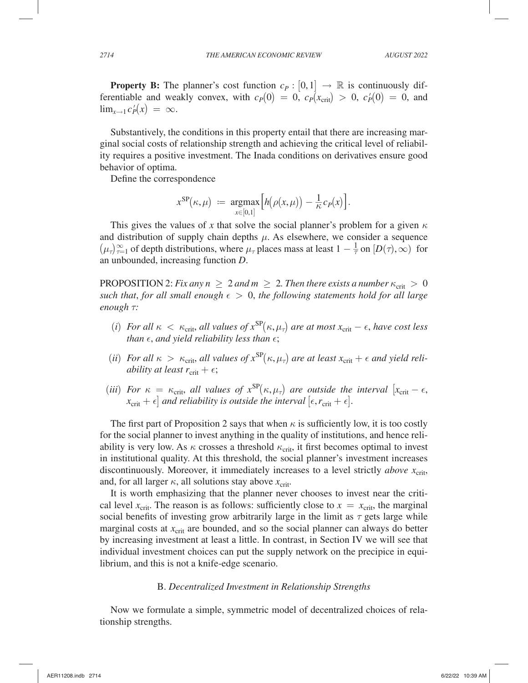**Property B:** The planner's cost function  $c_P : [0,1] \rightarrow \mathbb{R}$  is continuously differentiable and weakly convex, with  $c_P(0) = 0$ ,  $c_P(x_{\text{crit}}) > 0$ ,  $c_P'(0) = 0$ , and  $\lim_{x\to 1} c'_P(x) = \infty$ .

Substantively, the conditions in this property entail that there are increasing marginal social costs of relationship strength and achieving the critical level of reliability requires a positive investment. The Inada conditions on derivatives ensure good behavior of optima.

Define the correspondence

$$
x^{\rm SP}(\kappa,\mu) \ := \ \mathop{\rm argmax}_{x \in [0,1]} \Bigl[ h\bigl(\rho(x,\mu)\bigr) - \tfrac{1}{\kappa} c_P(x) \Bigr].
$$

This gives the values of x that solve the social planner's problem for a given  $\kappa$ and distribution of supply chain depths  $\mu$ . As elsewhere, we consider a sequence  $(\mu_{\tau})_{\tau=1}^{\infty}$  of depth distributions, where  $\mu_{\tau}$  places mass at least  $1-\frac{1}{\tau}$  on  $[D(\tau),\infty)$  for an unbounded, increasing function *D*.

PROPOSITION 2: *Fix any n*  $\geq 2$  *and m*  $\geq 2$ *. Then there exists a number*  $\kappa_{\rm crit} > 0$ *such that, for all small enough*  $\epsilon > 0$ *, the following statements hold for all large enough τ:* 

- (*i*) *For all*  $\kappa < \kappa_{\rm crit}$ , *all values of*  $x^{\rm SP}(\kappa, \mu_{\tau})$  *are at most*  $x_{\rm crit} \epsilon$ , *have cost less than*  $\epsilon$ , *and yield reliability less than*  $\epsilon$ ;
- (*ii*) *For all*  $\kappa > \kappa_{\rm crit}$ , *all* values of  $x^{\rm SP}(\kappa,\mu_{\tau})$  are at least  $x_{\rm crit} + \epsilon$  and yield reli*ability at least*  $r_{\text{crit}} + \epsilon$ ;
- (*iii*) *For*  $\kappa = \kappa_{\text{crit}}$ , *all values of*  $x^{\text{SP}}(\kappa, \mu_{\tau})$  *are outside the interval*  $[x_{\text{crit}} \epsilon,$  $x_{\text{crit}} + \epsilon$  *and reliability is outside the interval*  $[\epsilon, r_{\text{crit}} + \epsilon]$ .

The first part of Proposition 2 says that when  $\kappa$  is sufficiently low, it is too costly for the social planner to invest anything in the quality of institutions, and hence reliability is very low. As  $\kappa$  crosses a threshold  $\kappa_{\rm crit}$ , it first becomes optimal to invest in institutional quality. At this threshold, the social planner's investment increases discontinuously. Moreover, it immediately increases to a level strictly *above*  $x_{\text{crit}}$ , and, for all larger  $\kappa$ , all solutions stay above  $x_{\text{crit}}$ .

It is worth emphasizing that the planner never chooses to invest near the critical level  $x_{\text{crit}}$ . The reason is as follows: sufficiently close to  $x = x_{\text{crit}}$ , the marginal social benefits of investing grow arbitrarily large in the limit as  $\tau$  gets large while marginal costs at  $x_{\text{crit}}$  are bounded, and so the social planner can always do better by increasing investment at least a little. In contrast, in Section IV we will see that individual investment choices can put the supply network on the precipice in equilibrium, and this is not a knife-edge scenario.

### B. *Decentralized Investment in Relationship Strengths*

Now we formulate a simple, symmetric model of decentralized choices of relationship strengths.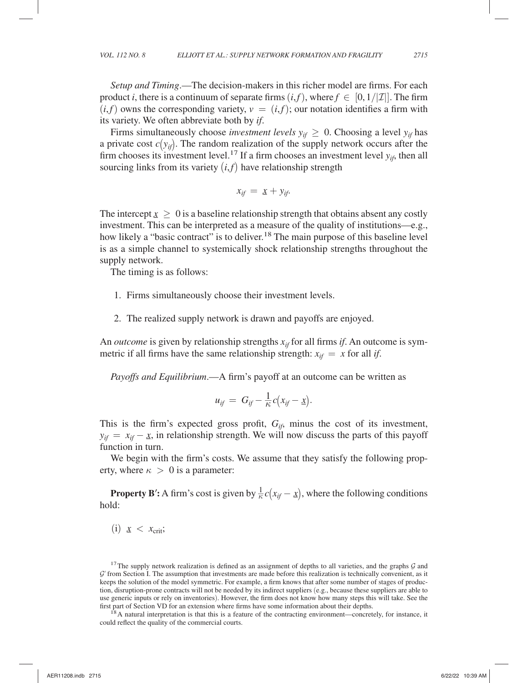*Setup and Timing*.—The decision-makers in this richer model are firms. For each product *i*, there is a continuum of separate firms  $(i, f)$ , where  $f \in [0, 1/|\mathcal{I}|]$ . The firm  $(i, f)$  owns the corresponding variety,  $v = (i, f)$ ; our notation identifies a firm with its variety. We often abbreviate both by *if* .

Firms simultaneously choose *investment levels*  $y_{if} \geq 0$ . Choosing a level  $y_{if}$  has a private cost  $c(y_{it})$ . The random realization of the supply network occurs after the firm chooses its investment level.<sup>17</sup> If a firm chooses an investment level  $y_{i}$ , then all sourcing links from its variety  $(i, f)$  have relationship strength

$$
x_{if} = \underline{x} + y_{if}.
$$

The intercept  $x \geq 0$  is a baseline relationship strength that obtains absent any costly The intercept  $\bar{x} \geq 0$  is a baseline relationship strength that obtains absent any costry<br>investment. This can be interpreted as a measure of the quality of institutions—e.g., how likely a "basic contract" is to deliver.<sup>18</sup> The main purpose of this baseline level is as a simple channel to systemically shock relationship strengths throughout the supply network.

The timing is as follows:

- 1. Firms simultaneously choose their investment levels.
- 2. The realized supply network is drawn and payoffs are enjoyed.

An *outcome* is given by relationship strengths  $x_{if}$  for all firms *if*. An outcome is symmetric if all firms have the same relationship strength:  $x_{if} = x$  for all *if*.

*Payoffs and Equilibrium*.—A firm's payoff at an outcome can be written as

$$
u_{if} = G_{if} - \frac{1}{\kappa}c(x_{if} - \underline{x}).
$$

This is the firm's expected gross profit,  $G_{ij}$ , minus the cost of its investment,  $y_{if} = x_{if} - \underline{x}$ , in relationship strength. We will now discuss the parts of this payoff  $y_{if} = x_{if} - \underline{x}, \text{ in}$ <br>function in turn.

We begin with the firm's costs. We assume that they satisfy the following property, where  $\kappa > 0$  is a parameter:

**Property B<sup>′</sup>:** A firm's cost is given by  $\frac{1}{\kappa}c(x_{if} - \underline{x})$ , where the following conditions ld. hold:

(i)  $x < x_{\text{crit}}$ ;

first part of Section VD for an extension where firms have some information about their depths.<br><sup>18</sup> A natural interpretation is that this is a feature of the contracting environment—concretely, for instance, it could reflect the quality of the commercial courts.

<sup>&</sup>lt;sup>17</sup> The supply network realization is defined as an assignment of depths to all varieties, and the graphs  $G$  and  $\mathcal G'$  from Section I. The assumption that investments are made before this realization is technically convenient, as it keeps the solution of the model symmetric. For example, a firm knows that after some number of stages of production, disruption-prone contracts will not be needed by its indirect suppliers (e.g., because these suppliers are able to use generic inputs or rely on inventories). However, the firm does not know how many steps this will take. See the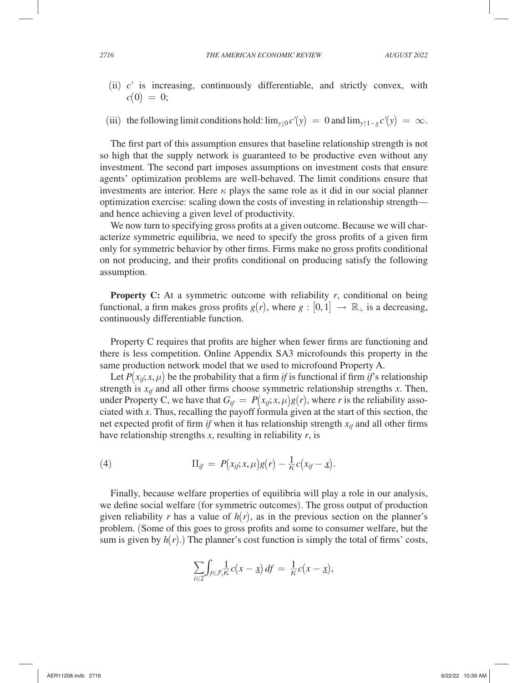- (ii) *c*′ is increasing, continuously differentiable, and strictly convex, with  $c(0) = 0$ ;
- (iii) the following limit conditions hold:  $\lim_{y\downarrow 0} c'(y) = 0$  and  $\lim_{y\uparrow 1-x}$  $c'(y) = \infty$ .

The first part of this assumption ensures that baseline relationship strength is not so high that the supply network is guaranteed to be productive even without any investment. The second part imposes assumptions on investment costs that ensure agents' optimization problems are well-behaved. The limit conditions ensure that investments are interior. Here  $\kappa$  plays the same role as it did in our social planner optimization exercise: scaling down the costs of investing in relationship strength and hence achieving a given level of productivity.

We now turn to specifying gross profits at a given outcome. Because we will characterize symmetric equilibria, we need to specify the gross profits of a given firm only for symmetric behavior by other firms. Firms make no gross profits conditional on not producing, and their profits conditional on producing satisfy the following assumption.

**Property C:** At a symmetric outcome with reliability  $r$ , conditional on being functional, a firm makes gross profits  $g(r)$ , where  $g : [0,1] \rightarrow \mathbb{R}_+$  is a decreasing, continuously differentiable function.

Property C requires that profits are higher when fewer firms are functioning and there is less competition. Online Appendix SA3 microfounds this property in the same production network model that we used to microfound Property A.

Let  $P(x_{ij}, x, \mu)$  be the probability that a firm *if* is functional if firm *if*'s relationship strength is  $x_{if}$  and all other firms choose symmetric relationship strengths  $x$ . Then, under Property C, we have that  $G_{if} = P(x_{if}; x, \mu)g(r)$ , where *r* is the reliability associated with *x* . Thus, recalling the payoff formula given at the start of this section, the net expected profit of firm *if* when it has relationship strength  $x_{it}$  and all other firms have relationship strengths  $x$ , resulting in reliability  $r$ , is

(4) 
$$
\Pi_{if} = P(x_{if}; x, \mu)g(r) - \frac{1}{\kappa}c(x_{if} - x).
$$

Finally, because welfare properties of equilibria will play a role in our analysis, we define social welfare (for symmetric outcomes). The gross output of production given reliability *r* has a value of  $h(r)$ , as in the previous section on the planner's problem. (Some of this goes to gross profits and some to consumer welfare, but the sum is given by  $h(r)$ .) The planner's cost function is simply the total of firms' costs,

$$
\sum_{i \in \mathcal{I}} \int_{f \in \mathcal{F}_i} \frac{1}{\kappa} c(x - \underline{x}) \, df = \frac{1}{\kappa} c(x - \underline{x}),
$$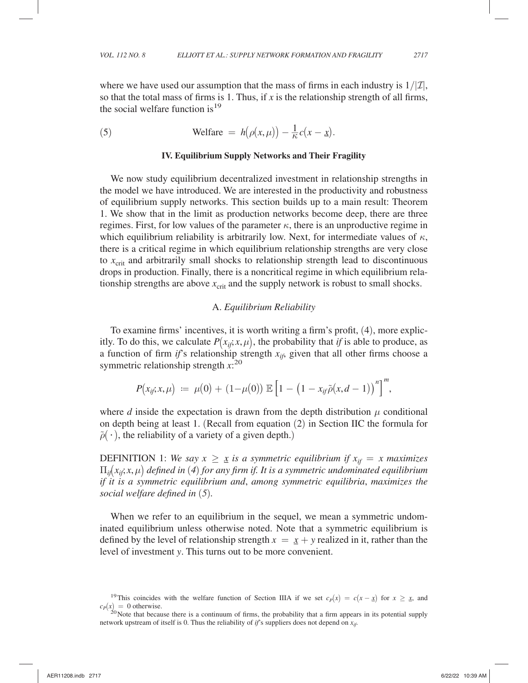where we have used our assumption that the mass of firms in each industry is  $1/|I|$ , so that the total mass of firms is 1. Thus, if  $x$  is the relationship strength of all firms, the social welfare function is  $19$ 

(5) Welfare 
$$
= h(\rho(x,\mu)) - \frac{1}{\kappa}c(x-\underline{x}).
$$

#### **IV. Equilibrium Supply Networks and Their Fragility**

We now study equilibrium decentralized investment in relationship strengths in the model we have introduced. We are interested in the productivity and robustness of equilibrium supply networks. This section builds up to a main result: Theorem 1. We show that in the limit as production networks become deep, there are three regimes. First, for low values of the parameter  $\kappa$ , there is an unproductive regime in which equilibrium reliability is arbitrarily low. Next, for intermediate values of  $\kappa$ , there is a critical regime in which equilibrium relationship strengths are very close to  $x_{\text{crit}}$  and arbitrarily small shocks to relationship strength lead to discontinuous drops in production. Finally, there is a noncritical regime in which equilibrium relationship strengths are above  $x_{\text{crit}}$  and the supply network is robust to small shocks.

#### A. *Equilibrium Reliability*

To examine firms' incentives, it is worth writing a firm's profit, (4), more explicitly. To do this, we calculate  $P(x_{ij}, x, \mu)$ , the probability that *if* is able to produce, as a function of firm *if*'s relationship strength  $x_{if}$ , given that all other firms choose a symmetric relationship strength  $x$ <sup>20</sup>

$$
P(x_{ij},x,\mu) := \mu(0) + (1-\mu(0)) \mathbb{E}\left[1 - (1-x_{ij}\tilde{\rho}(x,d-1)) \right]^m,
$$

where  $d$  inside the expectation is drawn from the depth distribution  $\mu$  conditional on depth being at least 1 . (Recall from equation (2) in Section IIC the formula for  $\tilde{\rho}(\cdot)$ , the reliability of a variety of a given depth.)

DEFINITION 1: *We say*  $x \geq \underline{x}$  *is a symmetric equilibrium if*  $x_{if} = x$  *maximizes* **DEFINITION 1:** We say  $x \geq \underline{x}$  is a symmetric equilibrium if  $x_{if} = x$  maximizes  $\Pi_{if}(x_{if}; x, \mu)$  defined in (4) for any firm if. It is a symmetric undominated equilibrium *if it is a symmetric equilibrium and*, *among symmetric equilibria*, *maximizes the social welfare defined in* (*5*)*.*

When we refer to an equilibrium in the sequel, we mean a symmetric undominated equilibrium unless otherwise noted. Note that a symmetric equilibrium is defined by the level of relationship strength  $x = x + y$  realized in it, rather than the defined by the level of ferationship strength  $x = \frac{x}{2} + y$  real<br>level of investment *y*. This turns out to be more convenient.

<sup>&</sup>lt;sup>19</sup>This coincides with the welfare function of Section IIIA if we set  $c_P(x) = c(x - x)$  for  $x \ge x$ , and  $c) = 0$  otherwise.  $c_P(x) = 0$  otherwise.<br><sup>20</sup> Note that because there is a continuum of firms, the probability that a firm appears in its potential supply

network upstream of itself is 0. Thus the reliability of *if*'s suppliers does not depend on  $x_{if}$ .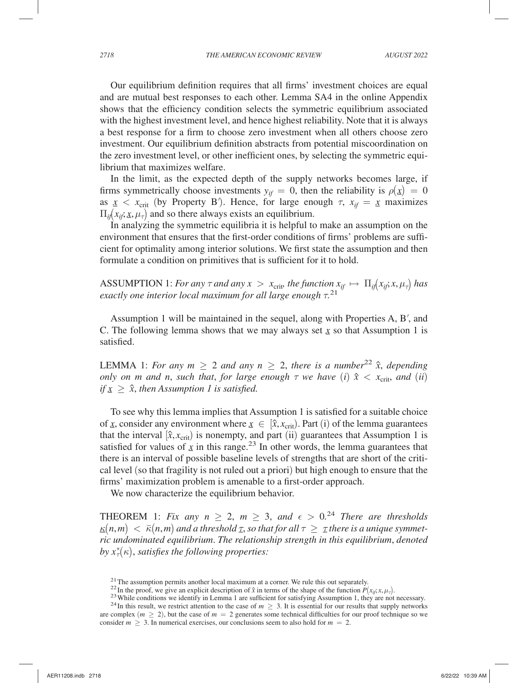Our equilibrium definition requires that all firms' investment choices are equal and are mutual best responses to each other. Lemma SA4 in the online Appendix shows that the efficiency condition selects the symmetric equilibrium associated with the highest investment level, and hence highest reliability. Note that it is always a best response for a firm to choose zero investment when all others choose zero investment. Our equilibrium definition abstracts from potential miscoordination on the zero investment level, or other inefficient ones, by selecting the symmetric equilibrium that maximizes welfare.

In the limit, as the expected depth of the supply networks becomes large, if firms symmetrically choose investments  $y_{if} = 0$ , then the reliability is  $\rho(\underline{x}) = 0$ The symmetrically choose investments  $y_{if} = 0$ , then the remainity is  $p(\underline{x}) = 0$ <br>as  $\underline{x} < x_{\text{crit}}$  (by Property B). Hence, for large enough  $\tau$ ,  $x_{if} = \underline{x}$  maximizes<br> $\Pi_x(x, x, \mu_x)$  and so there always exists an equilibr  $\Pi_{ij}(x_{ij}; \underline{x}, \mu_{\tau})$  and so there always exists an equilibrium.

 $(x_{ij}, \underline{x}, \mu_{\tau})$  and so there always exists an equilibrium.<br>In analyzing the symmetric equilibria it is helpful to make an assumption on the environment that ensures that the first-order conditions of firms' problems are sufficient for optimality among interior solutions. We first state the assumption and then formulate a condition on primitives that is sufficient for it to hold.

ASSUMPTION 1: *For any*  $\tau$  *and any*  $x > x_{\text{crit}}$  *the function*  $x_{if} \mapsto \Pi_{if}(x_{if}; x, \mu_{\tau})$  *has exactly one interior local maximum for all large enough*  $τ$ .<sup>21</sup>

Assumption 1 will be maintained in the sequel, along with Properties A, B′, and C. The following lemma shows that we may always set  $\underline{x}$  so that Assumption 1 is satisfied satisfied.

LEMMA 1: *For any*  $m \geq 2$  *and any*  $n \geq 2$ , *there is a number*<sup>22</sup>  $\hat{x}$ *, depending only on m and n, such that, for large enough*  $\tau$  *we have (i)*  $\hat{x} < x_{\text{crit}}$ *<i>, and (ii) if*  $x \geq \hat{x}$ , then Assumption 1 is satisfied.

To see why this lemma implies that Assumption 1 is satisfied for a suitable choice of <u>*x*</u>, consider any environment where  $x \in [\hat{x}, x_{\text{crit}})$ . Part (i) of the lemma guarantees or  $\underline{x}$ , consider any environment where  $\underline{x} \in [x, x_{\text{crit}})$ . Fart (1) or the femma guarantees that the interval  $[\hat{x}, x_{\text{crit}})$  is nonempty, and part (ii) guarantees that Assumption 1 is satisfied for values of  $\chi$  in this range.<sup>23</sup> In other words, the lemma guarantees that saushed for values of  $\frac{x}{2}$  in this range. In other words, the femina guarantees that there is an interval of possible baseline levels of strengths that are short of the critical level (so that fragility is not ruled out a priori) but high enough to ensure that the firms' maximization problem is amenable to a first-order approach.

We now characterize the equilibrium behavior.

THEOREM 1: *Fix any n*  $\geq$  2, *m*  $\geq$  3, *and*  $\epsilon$   $>$  0.<sup>24</sup> *There are thresholds*  $\mathbf{K}(n,m) < \bar{\kappa}(n,m)$  and a threshold  $\mathbf{I}$ , so that for all  $\tau \geq \tau$  there is a unique symmet- $\underline{\kappa}(n,m) < \bar{\kappa}(n,m)$  and a threshold <u> $\tau$ </u>, so that for all  $\tau \geq \tau$  there is a unique symmet-<br>ric undominated equilibrium. The relationship strength in this equilibrium, denoted by  $x^*_{\tau}(\kappa)$ , satisfies the following properties:

<sup>&</sup>lt;sup>21</sup> The assumption permits another local maximum at a corner. We rule this out separately. <sup>22</sup> In the proof, we give an explicit description of  $\hat{x}$  in terms of the shape of the function  $P(x_{ij}, x, \mu_{\tau})$ .

<sup>&</sup>lt;sup>23</sup> While conditions we identify in Lemma 1 are sufficient for satisfying Assumption 1, they are not necessary.<br><sup>24</sup> In this result, we restrict attention to the case of  $m \geq 3$ . It is essential for our results that sup

are complex  $(m > 2)$ , but the case of  $m = 2$  generates some technical difficulties for our proof technique so we consider  $m \geq 3$ . In numerical exercises, our conclusions seem to also hold for  $m = 2$ .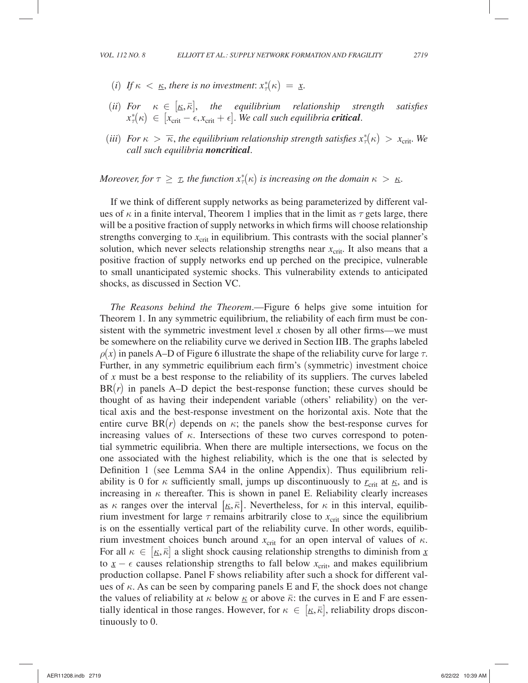- (*i*) If  $\kappa < \underline{\kappa}$ , there is no investment:  $x^*_{\tau}(\kappa) = \underline{x}$ .
- (*ii*) *For*  $\kappa \in [\underline{\kappa}, \overline{\kappa}]$ , the equilibrium relationship strength satisfies For  $\kappa \in [\underline{\kappa}, \overline{\kappa}],$  the equilibrium relationship str<br>  $x_{\tau}^*(\kappa) \in [x_{\text{crit}} - \epsilon, x_{\text{crit}} + \epsilon].$  We call such equilibria **critical**.
- (*iii*) *For*  $\kappa > \overline{\kappa}$ , the equilibrium relationship strength satisfies  $x^*_{\tau}(\kappa) > x_{\text{crit}}$ . We *call such equilibria noncritical*.

*Moreover, for*  $\tau \geq \tau$ *, the function*  $x_{\tau}^{*}(\kappa)$  *is increasing on the domain*  $\kappa > \kappa$ *.* 

If we think of different supply networks as being parameterized by different values of  $\kappa$  in a finite interval, Theorem 1 implies that in the limit as  $\tau$  gets large, there will be a positive fraction of supply networks in which firms will choose relationship strengths converging to  $x_{\text{crit}}$  in equilibrium. This contrasts with the social planner's solution, which never selects relationship strengths near  $x_{\text{crit}}$ . It also means that a positive fraction of supply networks end up perched on the precipice, vulnerable to small unanticipated systemic shocks. This vulnerability extends to anticipated shocks, as discussed in Section VC.

*The Reasons behind the Theorem*.—Figure 6 helps give some intuition for Theorem 1. In any symmetric equilibrium, the reliability of each firm must be consistent with the symmetric investment level *x* chosen by all other firms—we must be somewhere on the reliability curve we derived in Section IIB. The graphs labeled  $\rho(x)$  in panels A–D of Figure 6 illustrate the shape of the reliability curve for large  $\tau$ . Further, in any symmetric equilibrium each firm's (symmetric) investment choice of *x* must be a best response to the reliability of its suppliers. The curves labeled BR(*r*) in panels A–D depict the best-response function; these curves should be thought of as having their independent variable (others' reliability) on the vertical axis and the best-response investment on the horizontal axis. Note that the entire curve  $BR(r)$  depends on  $\kappa$ ; the panels show the best-response curves for increasing values of  $\kappa$ . Intersections of these two curves correspond to potential symmetric equilibria. When there are multiple intersections, we focus on the one associated with the highest reliability, which is the one that is selected by Definition 1 (see Lemma SA4 in the online Appendix). Thus equilibrium reliability is 0 for  $\kappa$  sufficiently small, jumps up discontinuously to  $r_{\text{crit}}$  at  $\kappa$ , and is ability is 0 for  $\kappa$  sufficiently small, jumps up discontinuously to  $r_{\text{crit}}$  at  $\kappa$ , and is increasing in  $\kappa$  thereafter. This is shown in panel E. Reliability clearly increases as  $\kappa$  ranges over the interval  $[\kappa, \bar{\kappa}]$ . Nevertheless, for  $\kappa$  in this interval, equilib-<br>rium investment for large  $\tau$  remains arbitrarily close to  $x_{\text{crit}}$  since the equilibrium rium investment for large  $\tau$  remains arbitrarily close to  $x_{\text{crit}}$  since the equilibrium is on the essentially vertical part of the reliability curve. In other words, equilibrium investment choices bunch around  $x_{\text{crit}}$  for an open interval of values of  $\kappa$ . For all  $\kappa \in [\underline{\kappa}, \overline{\kappa}]$  a slight shock causing relationship strengths to diminish from  $\underline{x}$  to  $x - \epsilon$  causes relationship strengths to fall below  $x_{\text{crit}}$ , and makes equilibrium For an  $\kappa \in [\kappa, \kappa]$  a sign shock causing relationship strengths to diminish from  $\underline{x}$  to  $\underline{x} - \epsilon$  causes relationship strengths to fall below  $x_{\text{crit}}$ , and makes equilibrium  $\Delta \omega = \epsilon$  causes relationship strengths to fail below  $x_{\text{crit}}$ , and makes equilibrium<br>production collapse. Panel F shows reliability after such a shock for different values of  $\kappa$ . As can be seen by comparing panels E and F, the shock does not change the values of reliability at  $\kappa$  below  $\underline{\kappa}$  or above  $\overline{\kappa}$ : the curves in E and F are essenthe values of reliability at  $\kappa$  below  $\underline{\kappa}$  or above  $\overline{\kappa}$ : the curves in E and F are essentially identical in those ranges. However, for  $\kappa \in [\underline{\kappa}, \overline{\kappa}]$ , reliability drops discontinuously to 0. tinuously to 0.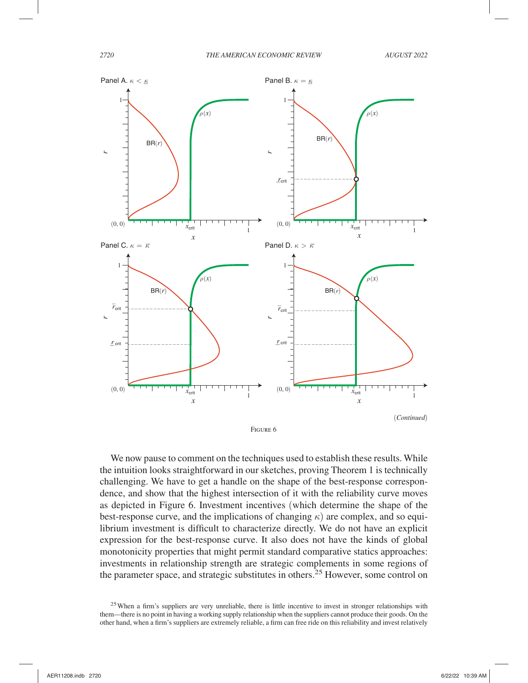

We now pause to comment on the techniques used to establish these results. While the intuition looks straightforward in our sketches, proving Theorem 1 is technically challenging. We have to get a handle on the shape of the best-response correspondence, and show that the highest intersection of it with the reliability curve moves as depicted in Figure 6. Investment incentives (which determine the shape of the best-response curve, and the implications of changing  $\kappa$ ) are complex, and so equilibrium investment is difficult to characterize directly. We do not have an explicit expression for the best-response curve. It also does not have the kinds of global monotonicity properties that might permit standard comparative statics approaches: investments in relationship strength are strategic complements in some regions of the parameter space, and strategic substitutes in others.<sup>25</sup> However, some control on

 $25$  When a firm's suppliers are very unreliable, there is little incentive to invest in stronger relationships with them—there is no point in having a working supply relationship when the suppliers cannot produce their goods. On the other hand, when a firm's suppliers are extremely reliable, a firm can free ride on this reliability and invest relatively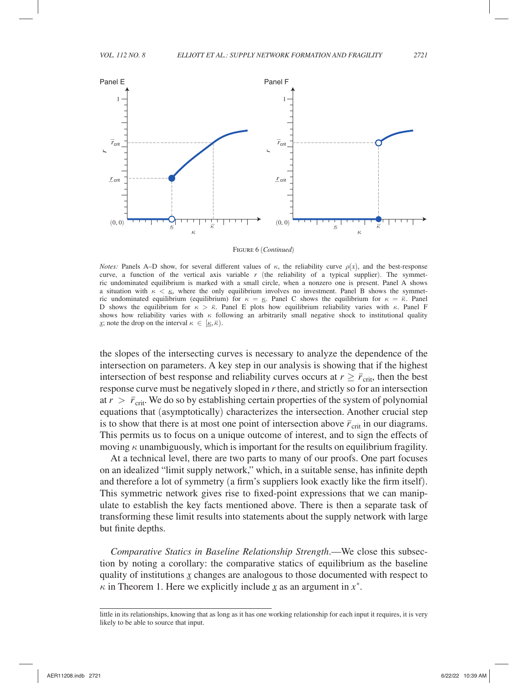

Figure 6 (*Continued*)

*Notes:* Panels A–D show, for several different values of  $\kappa$ , the reliability curve  $\rho(x)$ , and the best-response curve, a function of the vertical axis variable  $r$  (the reliability of a typical supplier). The symmetric undominated equilibrium is marked with a small circle, when a nonzero one is present. Panel A shows a situation with  $\kappa < \kappa$ , where the only equilibrium involves no investment. Panel B shows the symmeta situation with  $\kappa < \underline{\kappa}$ , where the only equilibrium involves no investment. Panel B shows the symmetric undominated equilibrium (equilibrium) for  $\kappa = \underline{\kappa}$ . Panel C shows the equilibrium for  $\kappa = \overline{\kappa}$ . Panel ric undominated equilibrium (equilibrium) for  $\kappa = \underline{\kappa}$ . Panel C shows the equilibrium for  $\kappa = \overline{\kappa}$ . Panel F<br>D shows the equilibrium for  $\kappa > \overline{\kappa}$ . Panel E plots how equilibrium reliability varies with  $\kappa$ . shows how reliability varies with  $\kappa$  following an arbitrarily small negative shock to institutional quality *x*; note the drop on the interval  $\kappa \in [\mathbf{K}, \overline{\mathbf{K}})$ .

the slopes of the intersecting curves is necessary to analyze the dependence of the intersection on parameters. A key step in our analysis is showing that if the highest intersection of best response and reliability curves occurs at  $r \geq \bar{r}_{\rm crit}$ , then the best response curve must be negatively sloped in *r* there, and strictly so for an intersection at  $r > \bar{r}_{\text{crit}}$ . We do so by establishing certain properties of the system of polynomial equations that (asymptotically) characterizes the intersection. Another crucial step is to show that there is at most one point of intersection above  $\bar{r}_{\text{crit}}$  in our diagrams. This permits us to focus on a unique outcome of interest, and to sign the effects of moving  $\kappa$  unambiguously, which is important for the results on equilibrium fragility.

At a technical level, there are two parts to many of our proofs. One part focuses on an idealized "limit supply network," which, in a suitable sense, has infinite depth and therefore a lot of symmetry (a firm's suppliers look exactly like the firm itself). This symmetric network gives rise to fixed-point expressions that we can manipulate to establish the key facts mentioned above. There is then a separate task of transforming these limit results into statements about the supply network with large but finite depths.

*Comparative Statics in Baseline Relationship Strength*.—We close this subsection by noting a corollary: the comparative statics of equilibrium as the baseline quality of institutions  $\chi$  changes are analogous to those documented with respect to quanty of institutions  $\chi$  changes are analogous to those documente  $\kappa$  in Theorem 1. Here we explicitly include  $\chi$  as an argument in  $x^*$ .

little in its relationships, knowing that as long as it has one working relationship for each input it requires, it is very likely to be able to source that input.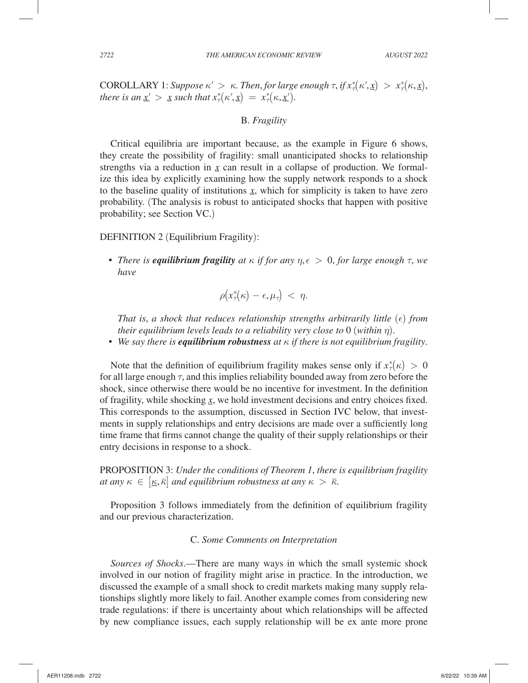COROLLARY 1: *Suppose*  $\kappa' > \kappa$ . *Then, for large enough*  $\tau$ , *if*  $x^*_{\tau}(\kappa', \underline{x}) > x^*_{\tau}(\kappa, \underline{x})$ , there is an  $x' > x$  such that  $x^*(\kappa', x) = x^* (\kappa, x')$ *there is an*  $\underline{x}' > \underline{x}$  *such that*  $x^*_{\tau}(\kappa', \underline{x}) = x^*_{\tau}(\kappa, \underline{x}')$ *.* 

# B. *Fragility*

Critical equilibria are important because, as the example in Figure 6 shows, they create the possibility of fragility: small unanticipated shocks to relationship strengths via a reduction in  $x$  can result in a collapse of production. We formalsueing this idea by explicitly examining how the supply network responds to a shock to the baseline quality of institutions  $x$ , which for simplicity is taken to have zero to the baseline quality of institutions  $\chi$ , which for simplicity is taken to have zero probability. (The analysis is robust to anticipated shocks that happen with positive probability; see Section VC.)

### DEFINITION 2 (Equilibrium Fragility):

• *There is equilibrium fragility at*  $\kappa$  *if for any*  $\eta$ ,  $\epsilon > 0$ , *for large enough*  $\tau$ , *we have*

$$
\rho\big(x^*_\tau(\kappa)-\epsilon,\mu_\tau\big)\ <\ \eta.
$$

*That is, a shock that reduces relationship strengths arbitrarily little*  $(\epsilon)$  *from their equilibrium levels leads to a reliability very close to* 0 (*within* η).

• *We say there is equilibrium robustness at* <sup>κ</sup> *if there is not equilibrium fragility*.

Note that the definition of equilibrium fragility makes sense only if  $x^*_{\tau}(\kappa) > 0$ for all large enough  $\tau$ , and this implies reliability bounded away from zero before the shock, since otherwise there would be no incentive for investment. In the definition of fragility, while shocking  $\underline{x}$ , we hold investment decisions and entry choices fixed. This corresponds to the assumption, discussed in Section IVC below, that invest-<br>This corresponds to the assumption, discussed in Section IVC below, that investments in supply relationships and entry decisions are made over a sufficiently long time frame that firms cannot change the quality of their supply relationships or their entry decisions in response to a shock.

PROPOSITION 3: *Under the conditions of Theorem 1*, *there is equilibrium fragility at any*  $\kappa \in [\underline{\kappa}, \overline{\kappa}]$  *and equilibrium robustness at any*  $\kappa > \overline{\kappa}$ .

Proposition 3 follows immediately from the definition of equilibrium fragility and our previous characterization.

## C. *Some Comments on Interpretation*

*Sources of Shocks*.—There are many ways in which the small systemic shock involved in our notion of fragility might arise in practice. In the introduction, we discussed the example of a small shock to credit markets making many supply relationships slightly more likely to fail. Another example comes from considering new trade regulations: if there is uncertainty about which relationships will be affected by new compliance issues, each supply relationship will be ex ante more prone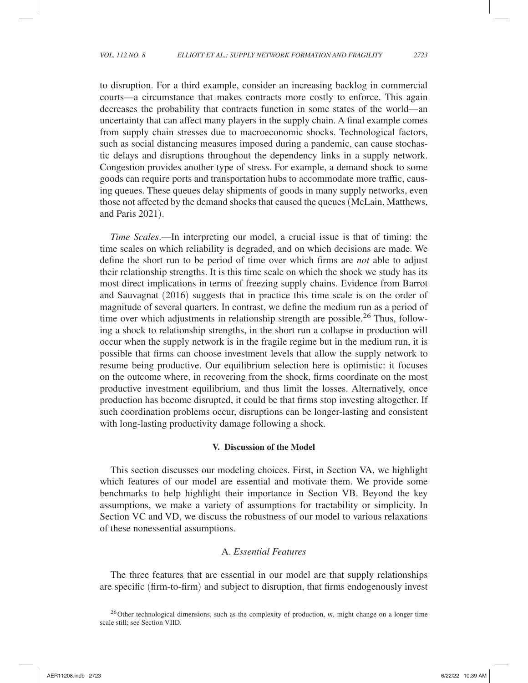to disruption. For a third example, consider an increasing backlog in commercial courts—a circumstance that makes contracts more costly to enforce. This again decreases the probability that contracts function in some states of the world—an uncertainty that can affect many players in the supply chain. A final example comes from supply chain stresses due to macroeconomic shocks. Technological factors, such as social distancing measures imposed during a pandemic, can cause stochastic delays and disruptions throughout the dependency links in a supply network. Congestion provides another type of stress. For example, a demand shock to some goods can require ports and transportation hubs to accommodate more traffic, causing queues. These queues delay shipments of goods in many supply networks, even those not affected by the demand shocks that caused the queues (McLain, Matthews, and Paris 2021).

*Time Scales*.—In interpreting our model, a crucial issue is that of timing: the time scales on which reliability is degraded, and on which decisions are made. We define the short run to be period of time over which firms are *not* able to adjust their relationship strengths. It is this time scale on which the shock we study has its most direct implications in terms of freezing supply chains. Evidence from Barrot and Sauvagnat (2016) suggests that in practice this time scale is on the order of magnitude of several quarters. In contrast, we define the medium run as a period of time over which adjustments in relationship strength are possible.<sup>26</sup> Thus, following a shock to relationship strengths, in the short run a collapse in production will occur when the supply network is in the fragile regime but in the medium run, it is possible that firms can choose investment levels that allow the supply network to resume being productive. Our equilibrium selection here is optimistic: it focuses on the outcome where, in recovering from the shock, firms coordinate on the most productive investment equilibrium, and thus limit the losses. Alternatively, once production has become disrupted, it could be that firms stop investing altogether. If such coordination problems occur, disruptions can be longer-lasting and consistent with long-lasting productivity damage following a shock.

#### **V. Discussion of the Model**

This section discusses our modeling choices. First, in Section VA, we highlight which features of our model are essential and motivate them. We provide some benchmarks to help highlight their importance in Section VB. Beyond the key assumptions, we make a variety of assumptions for tractability or simplicity. In Section VC and VD, we discuss the robustness of our model to various relaxations of these nonessential assumptions.

## A. *Essential Features*

The three features that are essential in our model are that supply relationships are specific ( firm-to-firm) and subject to disruption, that firms endogenously invest

<sup>&</sup>lt;sup>26</sup> Other technological dimensions, such as the complexity of production, *m*, might change on a longer time scale still; see Section VIID.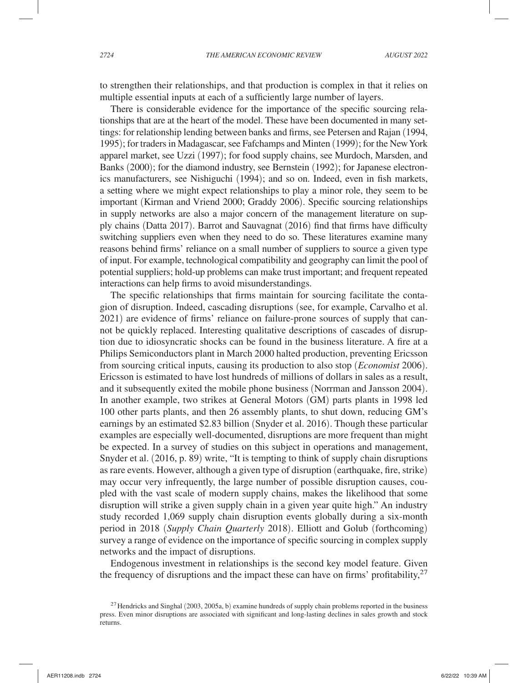to strengthen their relationships, and that production is complex in that it relies on multiple essential inputs at each of a sufficiently large number of layers.

There is considerable evidence for the importance of the specific sourcing relationships that are at the heart of the model. These have been documented in many settings: for relationship lending between banks and firms, see Petersen and Rajan (1994, 1995); for traders in Madagascar, see Fafchamps and Minten (1999); for the New York apparel market, see Uzzi (1997); for food supply chains, see Murdoch, Marsden, and Banks (2000); for the diamond industry, see Bernstein (1992); for Japanese electronics manufacturers, see Nishiguchi (1994); and so on. Indeed, even in fish markets, a setting where we might expect relationships to play a minor role, they seem to be important (Kirman and Vriend 2000; Graddy 2006). Specific sourcing relationships in supply networks are also a major concern of the management literature on supply chains (Datta 2017). Barrot and Sauvagnat (2016) find that firms have difficulty switching suppliers even when they need to do so. These literatures examine many reasons behind firms' reliance on a small number of suppliers to source a given type of input. For example, technological compatibility and geography can limit the pool of potential suppliers; hold-up problems can make trust important; and frequent repeated interactions can help firms to avoid misunderstandings.

The specific relationships that firms maintain for sourcing facilitate the contagion of disruption. Indeed, cascading disruptions (see, for example, Carvalho et al. 2021) are evidence of firms' reliance on failure-prone sources of supply that cannot be quickly replaced. Interesting qualitative descriptions of cascades of disruption due to idiosyncratic shocks can be found in the business literature. A fire at a Philips Semiconductors plant in March 2000 halted production, preventing Ericsson from sourcing critical inputs, causing its production to also stop (*Economist* 2006). Ericsson is estimated to have lost hundreds of millions of dollars in sales as a result, and it subsequently exited the mobile phone business (Norrman and Jansson 2004). In another example, two strikes at General Motors (GM) parts plants in 1998 led 100 other parts plants, and then 26 assembly plants, to shut down, reducing GM's earnings by an estimated \$2.83 billion (Snyder et al. 2016). Though these particular examples are especially well-documented, disruptions are more frequent than might be expected. In a survey of studies on this subject in operations and management, Snyder et al. (2016, p. 89) write, "It is tempting to think of supply chain disruptions as rare events. However, although a given type of disruption (earthquake, fire, strike) may occur very infrequently, the large number of possible disruption causes, coupled with the vast scale of modern supply chains, makes the likelihood that some disruption will strike a given supply chain in a given year quite high." An industry study recorded 1,069 supply chain disruption events globally during a six-month period in 2018 (*Supply Chain Quarterly* 2018). Elliott and Golub (forthcoming) survey a range of evidence on the importance of specific sourcing in complex supply networks and the impact of disruptions.

Endogenous investment in relationships is the second key model feature. Given the frequency of disruptions and the impact these can have on firms' profitability, $27$ 

<sup>&</sup>lt;sup>27</sup> Hendricks and Singhal (2003, 2005a, b) examine hundreds of supply chain problems reported in the business press. Even minor disruptions are associated with significant and long-lasting declines in sales growth and stock returns.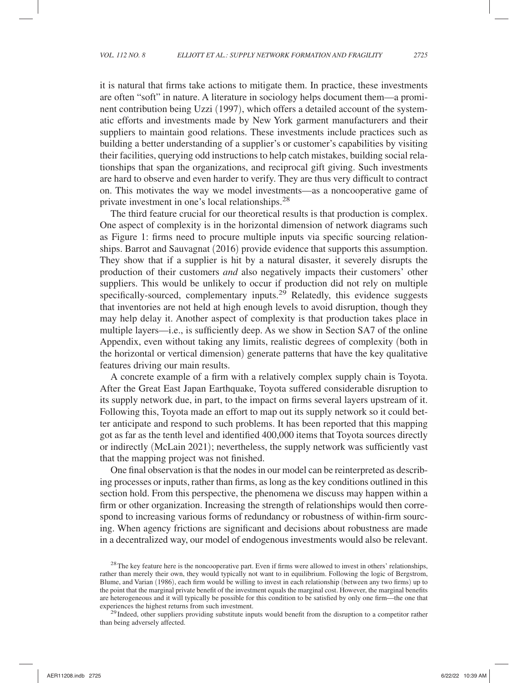it is natural that firms take actions to mitigate them. In practice, these investments are often "soft" in nature. A literature in sociology helps document them—a prominent contribution being Uzzi (1997), which offers a detailed account of the systematic efforts and investments made by New York garment manufacturers and their suppliers to maintain good relations. These investments include practices such as building a better understanding of a supplier's or customer's capabilities by visiting their facilities, querying odd instructions to help catch mistakes, building social relationships that span the organizations, and reciprocal gift giving. Such investments are hard to observe and even harder to verify. They are thus very difficult to contract on. This motivates the way we model investments—as a noncooperative game of private investment in one's local relationships.28

The third feature crucial for our theoretical results is that production is complex. One aspect of complexity is in the horizontal dimension of network diagrams such as Figure 1: firms need to procure multiple inputs via specific sourcing relationships. Barrot and Sauvagnat (2016) provide evidence that supports this assumption. They show that if a supplier is hit by a natural disaster, it severely disrupts the production of their customers *and* also negatively impacts their customers' other suppliers. This would be unlikely to occur if production did not rely on multiple specifically-sourced, complementary inputs. $2^{9}$  Relatedly, this evidence suggests that inventories are not held at high enough levels to avoid disruption, though they may help delay it. Another aspect of complexity is that production takes place in multiple layers—i.e., is sufficiently deep. As we show in Section SA7 of the online Appendix, even without taking any limits, realistic degrees of complexity (both in the horizontal or vertical dimension) generate patterns that have the key qualitative features driving our main results.

A concrete example of a firm with a relatively complex supply chain is Toyota. After the Great East Japan Earthquake, Toyota suffered considerable disruption to its supply network due, in part, to the impact on firms several layers upstream of it. Following this, Toyota made an effort to map out its supply network so it could better anticipate and respond to such problems. It has been reported that this mapping got as far as the tenth level and identified 400,000 items that Toyota sources directly or indirectly (McLain 2021); nevertheless, the supply network was sufficiently vast that the mapping project was not finished.

One final observation is that the nodes in our model can be reinterpreted as describing processes or inputs, rather than firms, as long as the key conditions outlined in this section hold. From this perspective, the phenomena we discuss may happen within a firm or other organization. Increasing the strength of relationships would then correspond to increasing various forms of redundancy or robustness of within-firm sourcing. When agency frictions are significant and decisions about robustness are made in a decentralized way, our model of endogenous investments would also be relevant.

 $^{29}$  Indeed, other suppliers providing substitute inputs would benefit from the disruption to a competitor rather than being adversely affected.

<sup>&</sup>lt;sup>28</sup> The key feature here is the noncooperative part. Even if firms were allowed to invest in others' relationships, rather than merely their own, they would typically not want to in equilibrium. Following the logic of Bergstrom, Blume, and Varian (1986), each firm would be willing to invest in each relationship (between any two firms) up to the point that the marginal private benefit of the investment equals the marginal cost. However, the marginal benefits are heterogeneous and it will typically be possible for this condition to be satisfied by only one firm—the one that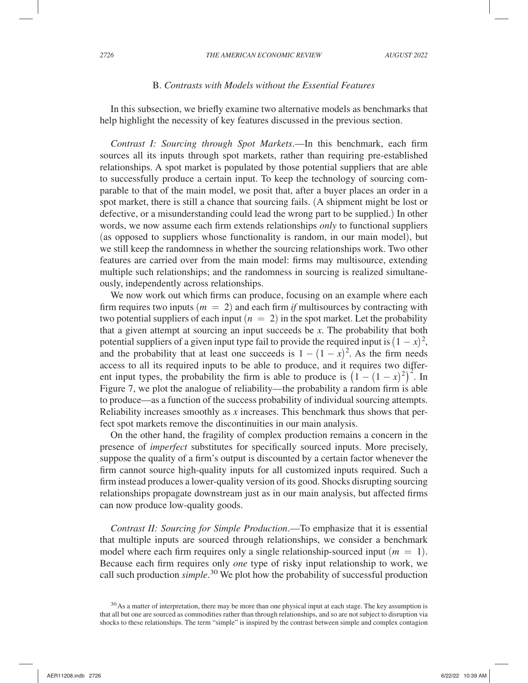#### B. *Contrasts with Models without the Essential Features*

In this subsection, we briefly examine two alternative models as benchmarks that help highlight the necessity of key features discussed in the previous section.

*Contrast I: Sourcing through Spot Markets*.—In this benchmark, each firm sources all its inputs through spot markets, rather than requiring pre-established relationships. A spot market is populated by those potential suppliers that are able to successfully produce a certain input. To keep the technology of sourcing comparable to that of the main model, we posit that, after a buyer places an order in a spot market, there is still a chance that sourcing fails. (A shipment might be lost or defective, or a misunderstanding could lead the wrong part to be supplied.) In other words, we now assume each firm extends relationships *only* to functional suppliers (as opposed to suppliers whose functionality is random, in our main model), but we still keep the randomness in whether the sourcing relationships work. Two other features are carried over from the main model: firms may multisource, extending multiple such relationships; and the randomness in sourcing is realized simultaneously, independently across relationships.

We now work out which firms can produce, focusing on an example where each firm requires two inputs  $(m = 2)$  and each firm *if* multisources by contracting with two potential suppliers of each input  $(n = 2)$  in the spot market. Let the probability that a given attempt at sourcing an input succeeds be *x* . The probability that both potential suppliers of a given input type fail to provide the required input is  $(1 - x)^2$ , and the probability that at least one succeeds is  $1 - (1 - x)^2$ . As the firm needs access to all its required inputs to be able to produce, and it requires two different input types, the probability the firm is able to produce is  $(1 - (1 - x)^2)^2$ . In Figure 7, we plot the analogue of reliability—the probability a random firm is able to produce—as a function of the success probability of individual sourcing attempts. Reliability increases smoothly as *x* increases. This benchmark thus shows that perfect spot markets remove the discontinuities in our main analysis.

On the other hand, the fragility of complex production remains a concern in the presence of *imperfect* substitutes for specifically sourced inputs. More precisely, suppose the quality of a firm's output is discounted by a certain factor whenever the firm cannot source high-quality inputs for all customized inputs required. Such a firm instead produces a lower-quality version of its good. Shocks disrupting sourcing relationships propagate downstream just as in our main analysis, but affected firms can now produce low-quality goods.

*Contrast II: Sourcing for Simple Production*.—To emphasize that it is essential that multiple inputs are sourced through relationships, we consider a benchmark model where each firm requires only a single relationship-sourced input  $(m = 1)$ . Because each firm requires only *one* type of risky input relationship to work, we call such production *simple*. 30 We plot how the probability of successful production

<sup>&</sup>lt;sup>30</sup> As a matter of interpretation, there may be more than one physical input at each stage. The key assumption is that all but one are sourced as commodities rather than through relationships, and so are not subject to disruption via shocks to these relationships. The term "simple" is inspired by the contrast between simple and complex contagion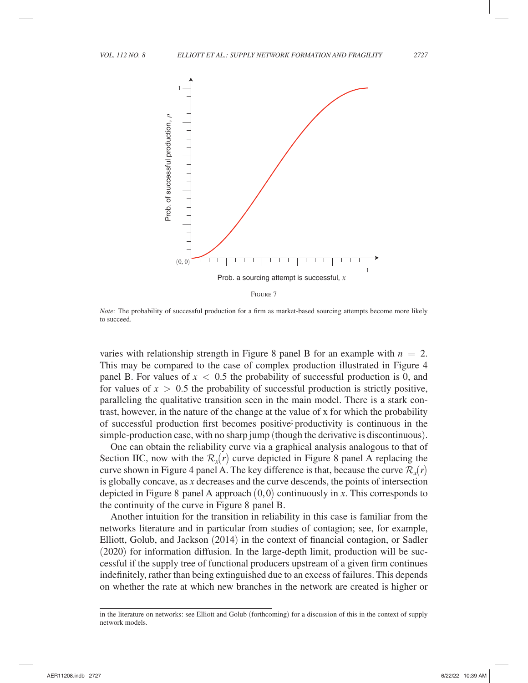

*Note:* The probability of successful production for a firm as market-based sourcing attempts become more likely to succeed.

varies with relationship strength in Figure 8 panel B for an example with  $n = 2$ . This may be compared to the case of complex production illustrated in Figure 4 panel B. For values of  $x < 0.5$  the probability of successful production is 0, and for values of  $x > 0.5$  the probability of successful production is strictly positive, paralleling the qualitative transition seen in the main model. There is a stark contrast, however, in the nature of the change at the value of x for which the probability of successful production first becomes positive productivity is continuous in the simple-production case, with no sharp jump (though the derivative is discontinuous).

One can obtain the reliability curve via a graphical analysis analogous to that of Section IIC, now with the  $\mathcal{R}_x(r)$  curve depicted in Figure 8 panel A replacing the curve shown in Figure 4 panel A. The key difference is that, because the curve  $\mathcal{R}_x(r)$ is globally concave, as *x* decreases and the curve descends, the points of intersection depicted in Figure 8 panel A approach (0,0) continuously in *x* . This corresponds to the continuity of the curve in Figure 8 panel B.

Another intuition for the transition in reliability in this case is familiar from the networks literature and in particular from studies of contagion; see, for example, Elliott, Golub, and Jackson (2014) in the context of financial contagion, or Sadler (2020) for information diffusion. In the large-depth limit, production will be successful if the supply tree of functional producers upstream of a given firm continues indefinitely, rather than being extinguished due to an excess of failures. This depends on whether the rate at which new branches in the network are created is higher or

in the literature on networks: see Elliott and Golub (forthcoming) for a discussion of this in the context of supply network models.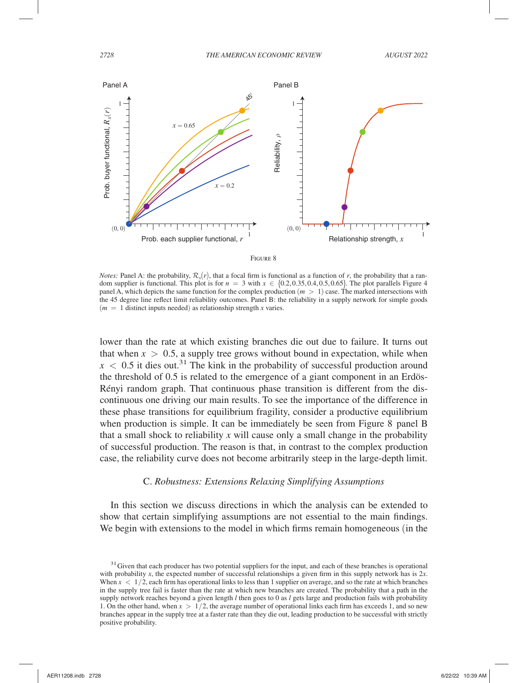



*Notes:* Panel A: the probability,  $\mathcal{R}_r(r)$ , that a focal firm is functional as a function of *r*, the probability that a random supplier is functional. This plot is for  $n = 3$  with  $x \in \{0.2, 0.35, 0.4, 0.5, 0.65\}$ . The plot parallels Figure 4 panel A, which depicts the same function for the complex production (*m* > 1 ) case. The marked intersections with the 45 degree line reflect limit reliability outcomes. Panel B: the reliability in a supply network for simple goods  $(m = 1$  distinct inputs needed) as relationship strength *x* varies.

lower than the rate at which existing branches die out due to failure. It turns out that when  $x > 0.5$ , a supply tree grows without bound in expectation, while when  $x < 0.5$  it dies out.<sup>31</sup> The kink in the probability of successful production around the threshold of 0.5 is related to the emergence of a giant component in an Erdös-Rényi random graph. That continuous phase transition is different from the discontinuous one driving our main results. To see the importance of the difference in these phase transitions for equilibrium fragility, consider a productive equilibrium when production is simple. It can be immediately be seen from Figure 8 panel B that a small shock to reliability *x* will cause only a small change in the probability of successful production. The reason is that, in contrast to the complex production case, the reliability curve does not become arbitrarily steep in the large-depth limit.

#### C. *Robustness: Extensions Relaxing Simplifying Assumptions*

In this section we discuss directions in which the analysis can be extended to show that certain simplifying assumptions are not essential to the main findings. We begin with extensions to the model in which firms remain homogeneous (in the

<sup>&</sup>lt;sup>31</sup> Given that each producer has two potential suppliers for the input, and each of these branches is operational with probability *x*, the expected number of successful relationships a given firm in this supply network has is 2*x*. When  $x < 1/2$ , each firm has operational links to less than 1 supplier on average, and so the rate at which branches in the supply tree fail is faster than the rate at which new branches are created. The probability that a path in the supply network reaches beyond a given length *l* then goes to 0 as *l* gets large and production fails with probability 1. On the other hand, when  $x > 1/2$ , the average number of operational links each firm has exceeds 1, and so new branches appear in the supply tree at a faster rate than they die out, leading production to be successful with strictly positive probability.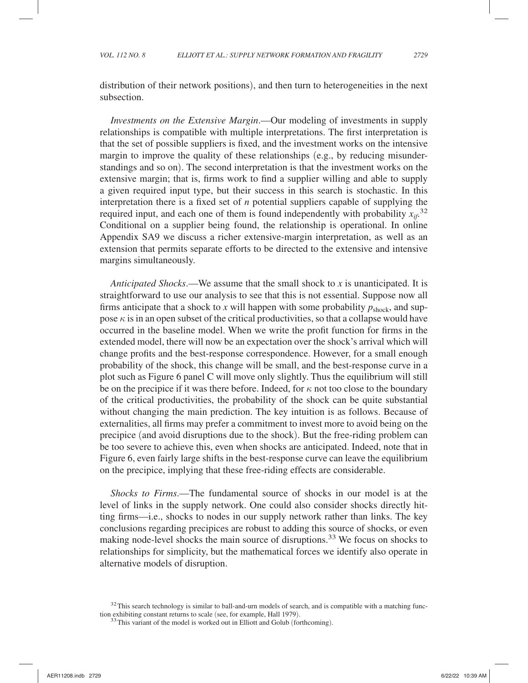distribution of their network positions), and then turn to heterogeneities in the next subsection.

*Investments on the Extensive Margin*.—Our modeling of investments in supply relationships is compatible with multiple interpretations. The first interpretation is that the set of possible suppliers is fixed, and the investment works on the intensive margin to improve the quality of these relationships (e.g., by reducing misunderstandings and so on). The second interpretation is that the investment works on the extensive margin; that is, firms work to find a supplier willing and able to supply a given required input type, but their success in this search is stochastic. In this interpretation there is a fixed set of *n* potential suppliers capable of supplying the required input, and each one of them is found independently with probability  $x_{if}^{32}$ Conditional on a supplier being found, the relationship is operational. In online Appendix SA9 we discuss a richer extensive-margin interpretation, as well as an extension that permits separate efforts to be directed to the extensive and intensive margins simultaneously.

*Anticipated Shocks*.—We assume that the small shock to *x* is unanticipated. It is straightforward to use our analysis to see that this is not essential. Suppose now all firms anticipate that a shock to *x* will happen with some probability  $p_{\text{shock}}$ , and suppose  $\kappa$  is in an open subset of the critical productivities, so that a collapse would have occurred in the baseline model. When we write the profit function for firms in the extended model, there will now be an expectation over the shock's arrival which will change profits and the best-response correspondence. However, for a small enough probability of the shock, this change will be small, and the best-response curve in a plot such as Figure 6 panel C will move only slightly. Thus the equilibrium will still be on the precipice if it was there before. Indeed, for  $\kappa$  not too close to the boundary of the critical productivities, the probability of the shock can be quite substantial without changing the main prediction. The key intuition is as follows. Because of externalities, all firms may prefer a commitment to invest more to avoid being on the precipice (and avoid disruptions due to the shock). But the free-riding problem can be too severe to achieve this, even when shocks are anticipated. Indeed, note that in Figure 6, even fairly large shifts in the best-response curve can leave the equilibrium on the precipice, implying that these free-riding effects are considerable.

*Shocks to Firms*.—The fundamental source of shocks in our model is at the level of links in the supply network. One could also consider shocks directly hitting firms—i.e., shocks to nodes in our supply network rather than links. The key conclusions regarding precipices are robust to adding this source of shocks, or even making node-level shocks the main source of disruptions.<sup>33</sup> We focus on shocks to relationships for simplicity, but the mathematical forces we identify also operate in alternative models of disruption.

<sup>&</sup>lt;sup>32</sup>This search technology is similar to ball-and-urn models of search, and is compatible with a matching function exhibiting constant returns to scale (see, for example, Hall 1979).<br><sup>33</sup> This variant of the model is worked out in Elliott and Golub (forthcoming).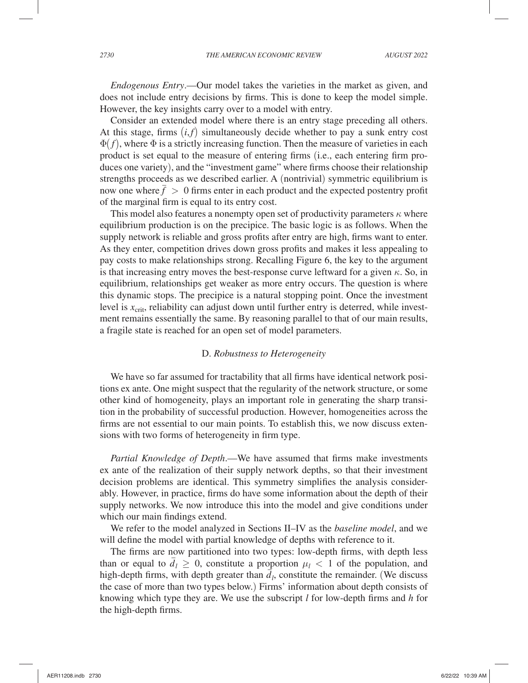*Endogenous Entry*.—Our model takes the varieties in the market as given, and does not include entry decisions by firms. This is done to keep the model simple. However, the key insights carry over to a model with entry.

Consider an extended model where there is an entry stage preceding all others. At this stage, firms  $(i, f)$  simultaneously decide whether to pay a sunk entry cost  $\Phi(f)$ , where  $\Phi$  is a strictly increasing function. Then the measure of varieties in each product is set equal to the measure of entering firms (i.e., each entering firm produces one variety), and the "investment game" where firms choose their relationship strengths proceeds as we described earlier. A (nontrivial) symmetric equilibrium is now one where  $\bar{f} > 0$  firms enter in each product and the expected postentry profit of the marginal firm is equal to its entry cost.

This model also features a nonempty open set of productivity parameters  $\kappa$  where equilibrium production is on the precipice. The basic logic is as follows. When the supply network is reliable and gross profits after entry are high, firms want to enter. As they enter, competition drives down gross profits and makes it less appealing to pay costs to make relationships strong. Recalling Figure 6, the key to the argument is that increasing entry moves the best-response curve leftward for a given  $\kappa$ . So, in equilibrium, relationships get weaker as more entry occurs. The question is where this dynamic stops. The precipice is a natural stopping point. Once the investment level is  $x<sub>crit</sub>$ , reliability can adjust down until further entry is deterred, while investment remains essentially the same. By reasoning parallel to that of our main results, a fragile state is reached for an open set of model parameters.

### D. *Robustness to Heterogeneity*

We have so far assumed for tractability that all firms have identical network positions ex ante. One might suspect that the regularity of the network structure, or some other kind of homogeneity, plays an important role in generating the sharp transition in the probability of successful production. However, homogeneities across the firms are not essential to our main points. To establish this, we now discuss extensions with two forms of heterogeneity in firm type.

*Partial Knowledge of Depth*.—We have assumed that firms make investments ex ante of the realization of their supply network depths, so that their investment decision problems are identical. This symmetry simplifies the analysis considerably. However, in practice, firms do have some information about the depth of their supply networks. We now introduce this into the model and give conditions under which our main findings extend.

We refer to the model analyzed in Sections II–IV as the *baseline model*, and we will define the model with partial knowledge of depths with reference to it.

The firms are now partitioned into two types: low-depth firms, with depth less than or equal to  $\overline{d}_l \geq 0$ , constitute a proportion  $\mu_l < 1$  of the population, and high-depth firms, with depth greater than  $\overline{d}_l$ , constitute the remainder. (We discuss high-depth firms, with depth greater than  $\overline{d}_l$ , constitute the remainder. the case of more than two types below.) Firms' information about depth consists of knowing which type they are. We use the subscript *l* for low-depth firms and *h* for the high-depth firms.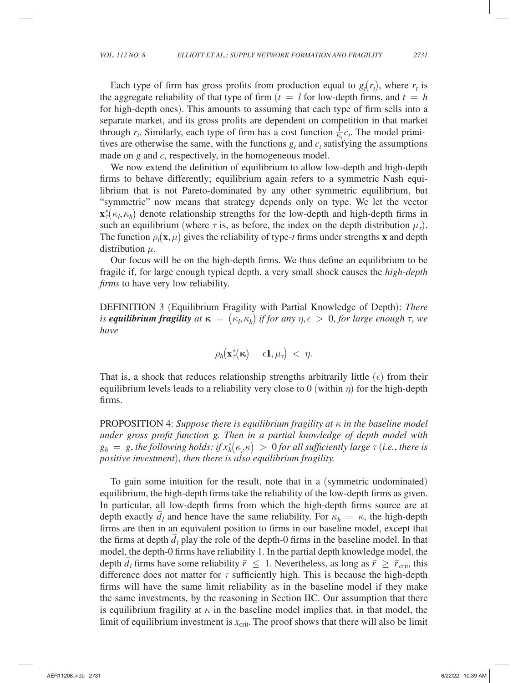Each type of firm has gross profits from production equal to  $g_t(r_t)$ , where  $r_t$  is the aggregate reliability of that type of firm  $(t = l$  for low-depth firms, and  $t = h$ for high-depth ones). This amounts to assuming that each type of firm sells into a separate market, and its gross profits are dependent on competition in that market through  $r_t$ . Similarly, each type of firm has a cost function  $\frac{1}{\kappa_t} c_t$ . The model primitives are otherwise the same, with the functions  $g_t$  and  $c_t$  satisfying the assumptions made on *g* and *c*, respectively, in the homogeneous model.

We now extend the definition of equilibrium to allow low-depth and high-depth firms to behave differently; equilibrium again refers to a symmetric Nash equilibrium that is not Pareto-dominated by any other symmetric equilibrium, but "symmetric" now means that strategy depends only on type. We let the vector  $\mathbf{x}_{\tau}^{*}(\kappa_l, \kappa_h)$  denote relationship strengths for the low-depth and high-depth firms in such an equilibrium (where  $\tau$  is, as before, the index on the depth distribution  $\mu_{\tau}$ ). The function  $\rho_t(\mathbf{x}, \mu)$  gives the reliability of type-*t* firms under strengths **x** and depth distribution  $\mu$ .

Our focus will be on the high-depth firms. We thus define an equilibrium to be fragile if, for large enough typical depth, a very small shock causes the *high-depth firms* to have very low reliability.

DEFINITION 3 (Equilibrium Fragility with Partial Knowledge of Depth): *There is equilibrium fragility*  $at \kappa = (\kappa_l, \kappa_h)$  *if for any*  $\eta, \epsilon > 0$ , *for large enough*  $\tau$ , we have *have*

$$
\rho_h(\mathbf{x}^*_{\tau}(\kappa) - \epsilon \mathbf{1}, \mu_{\tau}) \, < \, \eta.
$$

That is, a shock that reduces relationship strengths arbitrarily little  $(\epsilon)$  from their equilibrium levels leads to a reliability very close to 0 (within  $\eta$ ) for the high-depth firms.

PROPOSITION 4: *Suppose there is equilibrium fragility at* κ *in the baseline model under gross profit function g. Then in a partial knowledge of depth model with*  $g_h = g$ , the following holds: if  $x_h^*(\kappa_{h}\kappa) > 0$  for all sufficiently large  $\tau$  (i.e., there is *positive investment*), *then there is also equilibrium fragility.*

To gain some intuition for the result, note that in a (symmetric undominated) equilibrium, the high-depth firms take the reliability of the low-depth firms as given. In particular, all low-depth firms from which the high-depth firms source are at depth exactly  $\overline{d}_l$  and hence have the same reliability. For  $\kappa_h = \kappa$ , the high-depth depth firms are then in an equivalent position to firms in our baseline model, except that the firms at depth  $\overline{d}_l$  play the role of the depth-0 firms in the baseline model. In that model, the depth-0 firms have reliability 1 . In the partial depth knowledge model, the depth  $\overline{d}_l$  firms have some reliability  $\overline{r} \leq 1$ . Nevertheless, as long as  $\overline{r} \geq \overline{r}_{\text{crit}}$ , this difference does not matter for  $\tau$  sufficiently high. This is because the high-depth firms will have the same limit reliability as in the baseline model if they make the same investments, by the reasoning in Section IIC. Our assumption that there is equilibrium fragility at  $\kappa$  in the baseline model implies that, in that model, the limit of equilibrium investment is  $x_{\text{crit}}$ . The proof shows that there will also be limit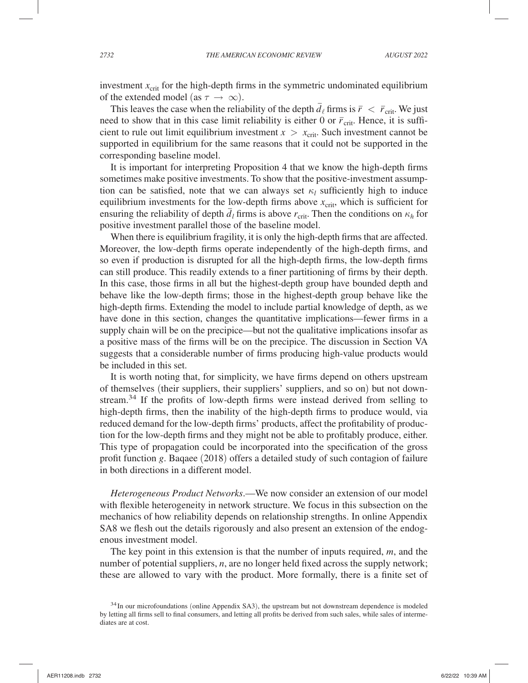investment  $x_{\text{crit}}$  for the high-depth firms in the symmetric undominated equilibrium of the extended model (as  $\tau \to \infty$ ).

This leaves the case when the reliability of the depth  $\bar{d}_\ell$  firms is  $\bar{r} < \bar{r}_{\rm crit}$ . We just need to show that in this case limit reliability is either 0 or  $\bar{r}_{\text{crit}}$ . Hence, it is sufficient to rule out limit equilibrium investment  $x > x_{\text{crit}}$ . Such investment cannot be supported in equilibrium for the same reasons that it could not be supported in the corresponding baseline model.

It is important for interpreting Proposition 4 that we know the high-depth firms sometimes make positive investments. To show that the positive-investment assumption can be satisfied, note that we can always set  $\kappa_l$  sufficiently high to induce equilibrium investments for the low-depth firms above  $x_{\text{crit}}$ , which is sufficient for equine that investments for the low depth *d* and  $\bar{e}$  and  $\bar{e}$  and  $\bar{e}$  and  $\bar{e}$  and  $\bar{e}$  for  $\bar{e}$  firms is above  $r_{\text{crit}}$ . Then the conditions on  $\kappa_h$  for positive investment parallel those of the baseline model.

When there is equilibrium fragility, it is only the high-depth firms that are affected. Moreover, the low-depth firms operate independently of the high-depth firms, and so even if production is disrupted for all the high-depth firms, the low-depth firms can still produce. This readily extends to a finer partitioning of firms by their depth. In this case, those firms in all but the highest-depth group have bounded depth and behave like the low-depth firms; those in the highest-depth group behave like the high-depth firms. Extending the model to include partial knowledge of depth, as we have done in this section, changes the quantitative implications—fewer firms in a supply chain will be on the precipice—but not the qualitative implications insofar as a positive mass of the firms will be on the precipice. The discussion in Section VA suggests that a considerable number of firms producing high-value products would be included in this set.

It is worth noting that, for simplicity, we have firms depend on others upstream of themselves (their suppliers, their suppliers' suppliers, and so on) but not downstream.<sup>34</sup> If the profits of low-depth firms were instead derived from selling to high-depth firms, then the inability of the high-depth firms to produce would, via reduced demand for the low-depth firms' products, affect the profitability of production for the low-depth firms and they might not be able to profitably produce, either. This type of propagation could be incorporated into the specification of the gross profit function *g* . Baqaee (2018) offers a detailed study of such contagion of failure in both directions in a different model.

*Heterogeneous Product Networks*.—We now consider an extension of our model with flexible heterogeneity in network structure. We focus in this subsection on the mechanics of how reliability depends on relationship strengths. In online Appendix SA8 we flesh out the details rigorously and also present an extension of the endogenous investment model.

The key point in this extension is that the number of inputs required,  $m$ , and the number of potential suppliers, *n*, are no longer held fixed across the supply network; these are allowed to vary with the product. More formally, there is a finite set of

 $34$  In our microfoundations (online Appendix SA3), the upstream but not downstream dependence is modeled by letting all firms sell to final consumers, and letting all profits be derived from such sales, while sales of intermediates are at cost.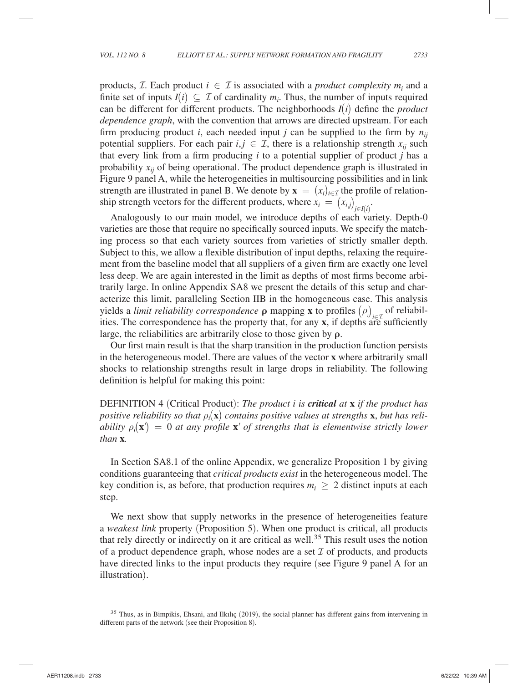products, *T*. Each product  $i \in \mathcal{I}$  is associated with a *product complexity*  $m_i$  and a finite set of inputs  $I(i) \subseteq \mathcal{I}$  of cardinality  $m_i$ . Thus, the number of inputs required can be different for different products. The neighborhoods  $I(i)$  define the *product dependence graph*, with the convention that arrows are directed upstream. For each firm producing product *i*, each needed input *j* can be supplied to the firm by  $n_{ii}$ potential suppliers. For each pair  $i, j \in \mathcal{I}$ , there is a relationship strength  $x_{ij}$  such that every link from a firm producing *i* to a potential supplier of product *j* has a probability  $x_{ii}$  of being operational. The product dependence graph is illustrated in Figure 9 panel A, while the heterogeneities in multisourcing possibilities and in link strength are illustrated in panel B. We denote by  $\mathbf{x} = (x_i)_{i \in \mathcal{I}}$  the profile of relationship strength vectors for the different products, where  $x_i = (x_{i,j})_{j \in I(i)}$ .

Analogously to our main model, we introduce depths of each variety. Depth-0 varieties are those that require no specifically sourced inputs. We specify the matching process so that each variety sources from varieties of strictly smaller depth. Subject to this, we allow a flexible distribution of input depths, relaxing the requirement from the baseline model that all suppliers of a given firm are exactly one level less deep. We are again interested in the limit as depths of most firms become arbitrarily large. In online Appendix SA8 we present the details of this setup and characterize this limit, paralleling Section IIB in the homogeneous case. This analysis yields a *limit reliability correspondence* **ρ** mapping **x** to profiles  $(\rho_i)_{i \in \mathcal{I}}$  of reliabil-<br>iii.e. The correspondence has the presentation for any multiplied with the formula ities. The correspondence has the property that, for any **x** , if depths are sufficiently large, the reliabilities are arbitrarily close to those given by **ρ** .

Our first main result is that the sharp transition in the production function persists in the heterogeneous model. There are values of the vector **x** where arbitrarily small shocks to relationship strengths result in large drops in reliability. The following definition is helpful for making this point:

DEFINITION 4 (Critical Product): *The product i is critical at if the product has positive reliability so that*  $\rho_i(\mathbf{x})$  *contains positive values at strengths* **x**, *but has reliability*  $\rho_i(\mathbf{x}') = 0$  *at any profile*  $\mathbf{x}'$  *of strengths that is elementwise strictly lower than* **x** *.*

In Section SA8.1 of the online Appendix, we generalize Proposition 1 by giving conditions guaranteeing that *critical products exist* in the heterogeneous model. The key condition is, as before, that production requires  $m_i \geq 2$  distinct inputs at each step.

We next show that supply networks in the presence of heterogeneities feature a *weakest link* property (Proposition 5). When one product is critical, all products that rely directly or indirectly on it are critical as well.<sup>35</sup> This result uses the notion of a product dependence graph, whose nodes are a set  $\mathcal I$  of products, and products have directed links to the input products they require (see Figure 9 panel A for an illustration).

 $35$  Thus, as in Bimpikis, Ehsani, and Ilkilic (2019), the social planner has different gains from intervening in different parts of the network (see their Proposition 8).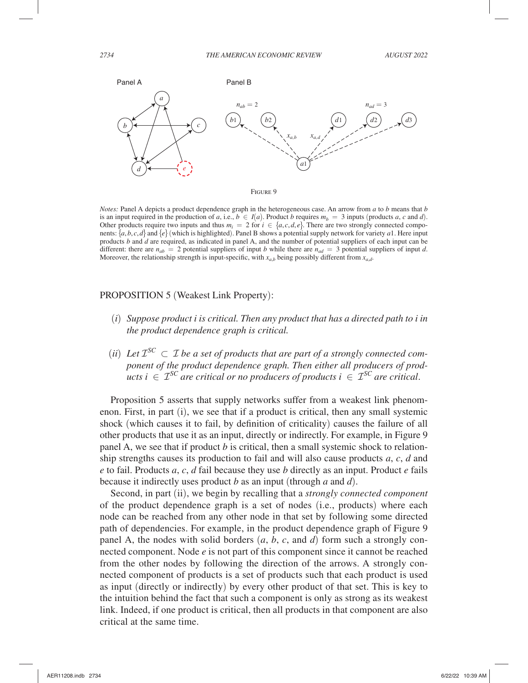



*Notes:* Panel A depicts a product dependence graph in the heterogeneous case. An arrow from *a* to *b* means that *b* is an input required in the production of *a*, i.e.,  $b \in I(a)$ . Product *b* requires  $m_b = 3$  inputs (products *a*, *c* and *d*). Other products require two inputs and thus  $m_i = 2$  for  $i \in \{a, c, d, e\}$ . There are two strongly connected components:  $\{a, b, c, d\}$  and  $\{e\}$  (which is highlighted). Panel B shows a potential supply network for variety *a*1. Here input products *b* and *d* are required, as indicated in panel A, and the number of potential suppliers of each input can be different: there are  $n_{ab} = 2$  potential suppliers of input *b* while there are  $n_{ad} = 3$  potential suppliers of input *d*. Moreover, the relationship strength is input-specific, with  $x_{a,b}$  being possibly different from  $x_{a,d}$ .

### PROPOSITION 5 (Weakest Link Property):

- (*i*) *Suppose product i is critical. Then any product that has a directed path to i in the product dependence graph is critical.*
- (*ii*) Let  $\mathcal{I}^{SC} \subset \mathcal{I}$  be a set of products that are part of a strongly connected com*ponent of the product dependence graph. Then either all producers of products*  $i \in \mathcal{I}^{SC}$  *are critical or no producers of products*  $i \in \mathcal{I}^{SC}$  *are critical.*

Proposition 5 asserts that supply networks suffer from a weakest link phenomenon. First, in part (i), we see that if a product is critical, then any small systemic shock (which causes it to fail, by definition of criticality) causes the failure of all other products that use it as an input, directly or indirectly. For example, in Figure 9 panel A, we see that if product *b* is critical, then a small systemic shock to relationship strengths causes its production to fail and will also cause products *a* , *c* , *d* and *e* to fail. Products *a* , *c* , *d* fail because they use *b* directly as an input. Product *e* fails because it indirectly uses product *b* as an input (through *a* and *d*).

Second, in part (ii), we begin by recalling that a *strongly connected component* of the product dependence graph is a set of nodes (i.e., products) where each node can be reached from any other node in that set by following some directed path of dependencies. For example, in the product dependence graph of Figure 9 panel A, the nodes with solid borders  $(a, b, c,$  and  $d)$  form such a strongly connected component. Node *e* is not part of this component since it cannot be reached from the other nodes by following the direction of the arrows. A strongly connected component of products is a set of products such that each product is used as input (directly or indirectly) by every other product of that set. This is key to the intuition behind the fact that such a component is only as strong as its weakest link. Indeed, if one product is critical, then all products in that component are also critical at the same time.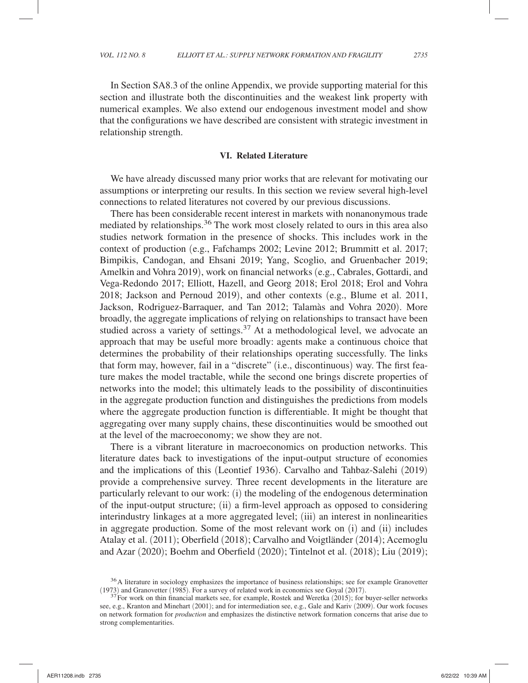In Section SA8.3 of the online Appendix, we provide supporting material for this section and illustrate both the discontinuities and the weakest link property with numerical examples. We also extend our endogenous investment model and show that the configurations we have described are consistent with strategic investment in relationship strength.

### **VI. Related Literature**

We have already discussed many prior works that are relevant for motivating our assumptions or interpreting our results. In this section we review several high-level connections to related literatures not covered by our previous discussions.

There has been considerable recent interest in markets with nonanonymous trade mediated by relationships.36 The work most closely related to ours in this area also studies network formation in the presence of shocks. This includes work in the context of production (e.g., Fafchamps 2002; Levine 2012; Brummitt et al. 2017; Bimpikis, Candogan, and Ehsani 2019; Yang, Scoglio, and Gruenbacher 2019; Amelkin and Vohra 2019), work on financial networks (e.g., Cabrales, Gottardi, and Vega-Redondo 2017; Elliott, Hazell, and Georg 2018; Erol 2018; Erol and Vohra 2018; Jackson and Pernoud 2019), and other contexts (e.g., Blume et al. 2011, Jackson, Rodriguez-Barraquer, and Tan 2012; Talamàs and Vohra 2020). More broadly, the aggregate implications of relying on relationships to transact have been studied across a variety of settings. $37$  At a methodological level, we advocate an approach that may be useful more broadly: agents make a continuous choice that determines the probability of their relationships operating successfully. The links that form may, however, fail in a "discrete" (i.e., discontinuous) way. The first feature makes the model tractable, while the second one brings discrete properties of networks into the model; this ultimately leads to the possibility of discontinuities in the aggregate production function and distinguishes the predictions from models where the aggregate production function is differentiable. It might be thought that aggregating over many supply chains, these discontinuities would be smoothed out at the level of the macroeconomy; we show they are not.

There is a vibrant literature in macroeconomics on production networks. This literature dates back to investigations of the input-output structure of economies and the implications of this (Leontief 1936). Carvalho and Tahbaz-Salehi (2019) provide a comprehensive survey. Three recent developments in the literature are particularly relevant to our work: (i) the modeling of the endogenous determination of the input-output structure; (ii) a firm-level approach as opposed to considering interindustry linkages at a more aggregated level; (iii) an interest in nonlinearities in aggregate production. Some of the most relevant work on (i) and (ii) includes Atalay et al. (2011); Oberfield (2018); Carvalho and Voigtländer (2014); Acemoglu and Azar (2020); Boehm and Oberfield (2020); Tintelnot et al. (2018); Liu (2019);

<sup>&</sup>lt;sup>36</sup> A literature in sociology emphasizes the importance of business relationships; see for example Granovetter (1973) and Granovetter (1985). For a survey of related work in economics see Goyal (2017).<br> $37$  For work on thin financial markets see, for example, Rostek and Weretka (2015); for buyer-seller networks

see, e.g., Kranton and Minehart (2001); and for intermediation see, e.g., Gale and Kariv (2009). Our work focuses on network formation for *production* and emphasizes the distinctive network formation concerns that arise due to strong complementarities.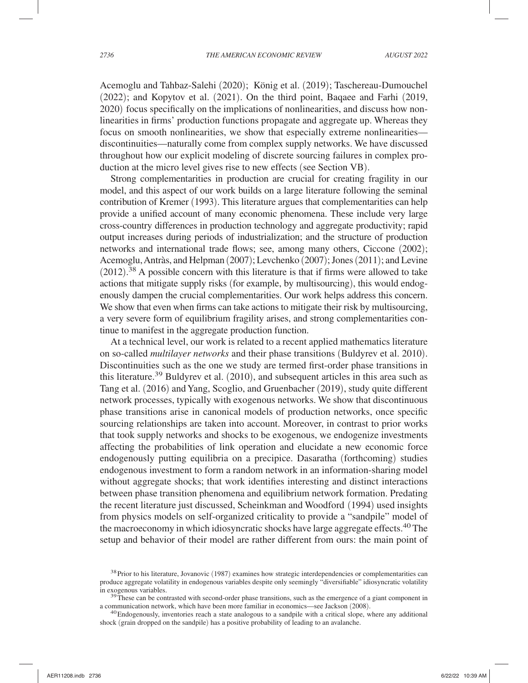Acemoglu and Tahbaz-Salehi (2020); König et al. (2019); Taschereau-Dumouchel (2022); and Kopytov et al. (2021). On the third point, Baqaee and Farhi (2019, 2020) focus specifically on the implications of nonlinearities, and discuss how nonlinearities in firms' production functions propagate and aggregate up. Whereas they focus on smooth nonlinearities, we show that especially extreme nonlinearities discontinuities—naturally come from complex supply networks. We have discussed throughout how our explicit modeling of discrete sourcing failures in complex production at the micro level gives rise to new effects (see Section VB).

Strong complementarities in production are crucial for creating fragility in our model, and this aspect of our work builds on a large literature following the seminal contribution of Kremer (1993). This literature argues that complementarities can help provide a unified account of many economic phenomena. These include very large cross-country differences in production technology and aggregate productivity; rapid output increases during periods of industrialization; and the structure of production networks and international trade flows; see, among many others, Ciccone (2002); Acemoglu, Antràs, and Helpman (2007); Levchenko (2007); Jones (2011); and Levine  $(2012).$ <sup>38</sup> A possible concern with this literature is that if firms were allowed to take actions that mitigate supply risks (for example, by multisourcing), this would endogenously dampen the crucial complementarities. Our work helps address this concern. We show that even when firms can take actions to mitigate their risk by multisourcing, a very severe form of equilibrium fragility arises, and strong complementarities continue to manifest in the aggregate production function.

At a technical level, our work is related to a recent applied mathematics literature on so-called *multilayer networks* and their phase transitions (Buldyrev et al. 2010). Discontinuities such as the one we study are termed first-order phase transitions in this literature.<sup>39</sup> Buldyrev et al.  $(2010)$ , and subsequent articles in this area such as Tang et al. (2016) and Yang, Scoglio, and Gruenbacher (2019), study quite different network processes, typically with exogenous networks. We show that discontinuous phase transitions arise in canonical models of production networks, once specific sourcing relationships are taken into account. Moreover, in contrast to prior works that took supply networks and shocks to be exogenous, we endogenize investments affecting the probabilities of link operation and elucidate a new economic force endogenously putting equilibria on a precipice. Dasaratha (forthcoming) studies endogenous investment to form a random network in an information-sharing model without aggregate shocks; that work identifies interesting and distinct interactions between phase transition phenomena and equilibrium network formation. Predating the recent literature just discussed, Scheinkman and Woodford (1994) used insights from physics models on self-organized criticality to provide a "sandpile" model of the macroeconomy in which idiosyncratic shocks have large aggregate effects.<sup>40</sup> The setup and behavior of their model are rather different from ours: the main point of

<sup>&</sup>lt;sup>38</sup> Prior to his literature, Jovanovic (1987) examines how strategic interdependencies or complementarities can produce aggregate volatility in endogenous variables despite only seemingly "diversifiable" idiosyncratic volatility

 $39$  These can be contrasted with second-order phase transitions, such as the emergence of a giant component in a communication network, which have been more familiar in economics—see Jackson (2008).<br><sup>40</sup> Endogenously, inventories reach a state analogous to a sandpile with a critical slope, where any additional

shock (grain dropped on the sandpile) has a positive probability of leading to an avalanche.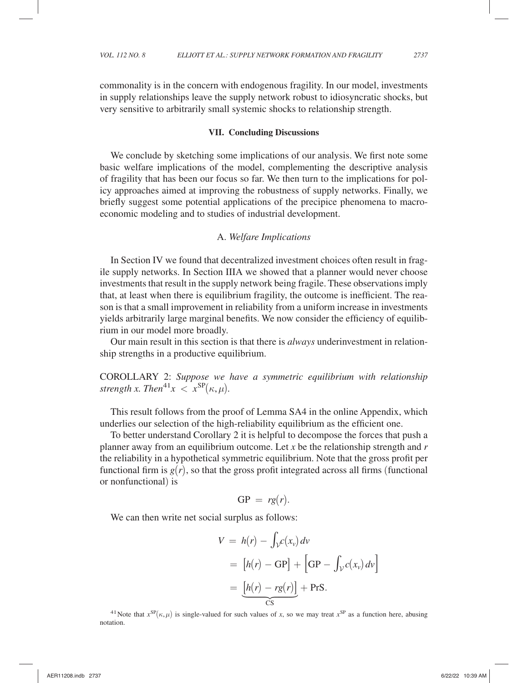commonality is in the concern with endogenous fragility. In our model, investments in supply relationships leave the supply network robust to idiosyncratic shocks, but very sensitive to arbitrarily small systemic shocks to relationship strength.

### **VII. Concluding Discussions**

We conclude by sketching some implications of our analysis. We first note some basic welfare implications of the model, complementing the descriptive analysis of fragility that has been our focus so far. We then turn to the implications for policy approaches aimed at improving the robustness of supply networks. Finally, we briefly suggest some potential applications of the precipice phenomena to macroeconomic modeling and to studies of industrial development.

### A. *Welfare Implications*

In Section IV we found that decentralized investment choices often result in fragile supply networks. In Section IIIA we showed that a planner would never choose investments that result in the supply network being fragile. These observations imply that, at least when there is equilibrium fragility, the outcome is inefficient. The reason is that a small improvement in reliability from a uniform increase in investments yields arbitrarily large marginal benefits. We now consider the efficiency of equilibrium in our model more broadly.

Our main result in this section is that there is *always* underinvestment in relationship strengths in a productive equilibrium.

COROLLARY 2: *Suppose we have a symmetric equilibrium with relationship strength x. Then*<sup>41</sup> $x < x^{SP}(\kappa, \mu)$ *.* 

This result follows from the proof of Lemma SA4 in the online Appendix, which underlies our selection of the high-reliability equilibrium as the efficient one.

To better understand Corollary 2 it is helpful to decompose the forces that push a planner away from an equilibrium outcome. Let *x* be the relationship strength and *r* the reliability in a hypothetical symmetric equilibrium. Note that the gross profit per functional firm is  $g(r)$ , so that the gross profit integrated across all firms (functional or nonfunctional) is

$$
GP = rg(r).
$$

We can then write net social surplus as follows:

$$
V = h(r) - \int_{\mathcal{V}} c(x_v) dv
$$
  
=  $[h(r) - GP] + [GP - \int_{\mathcal{V}} c(x_v) dv]$   
=  $\underline{[h(r) - rg(r)]}$  + PrS.

<sup>41</sup> Note that  $x^{SP}(\kappa, \mu)$  is single-valued for such values of *x*, so we may treat  $x^{SP}$  as a function here, abusing notation.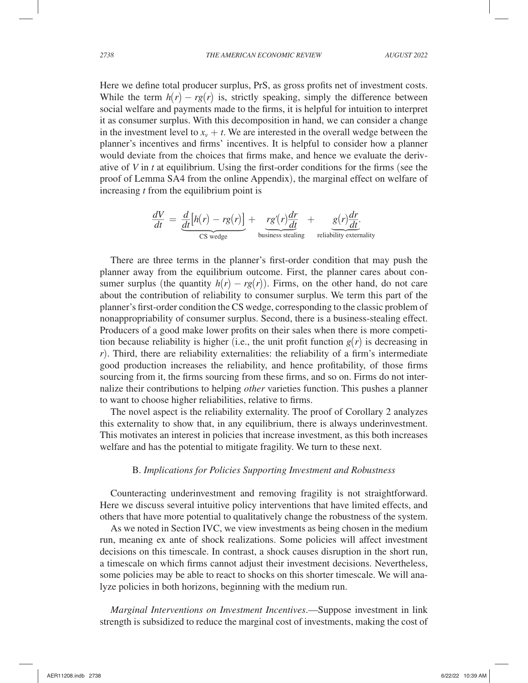Here we define total producer surplus, PrS , as gross profits net of investment costs. While the term  $h(r) - rg(r)$  is, strictly speaking, simply the difference between social welfare and payments made to the firms, it is helpful for intuition to interpret it as consumer surplus. With this decomposition in hand, we can consider a change in the investment level to  $x_v + t$ . We are interested in the overall wedge between the planner's incentives and firms' incentives. It is helpful to consider how a planner would deviate from the choices that firms make, and hence we evaluate the derivative of  $V$  in  $t$  at equilibrium. Using the first-order conditions for the firms (see the proof of Lemma SA4 from the online Appendix), the marginal effect on welfare of increasing *t* from the equilibrium point is

$$
\frac{dV}{dt} = \underbrace{\frac{d}{dt}[h(r) - rg(r)]}_{CS \text{ wedge}} + \underbrace{rg'(r)\frac{dr}{dt}}_{\text{business steadily}} + \underbrace{g(r)\frac{dr}{dt}}_{\text{reliability externally}}
$$

There are three terms in the planner's first-order condition that may push the planner away from the equilibrium outcome. First, the planner cares about consumer surplus (the quantity  $h(r) - rg(r)$ ). Firms, on the other hand, do not care about the contribution of reliability to consumer surplus. We term this part of the planner's first-order condition the CS wedge, corresponding to the classic problem of nonappropriability of consumer surplus. Second, there is a business-stealing effect. Producers of a good make lower profits on their sales when there is more competition because reliability is higher (i.e., the unit profit function  $g(r)$  is decreasing in *r*). Third, there are reliability externalities: the reliability of a firm's intermediate good production increases the reliability, and hence profitability, of those firms sourcing from it, the firms sourcing from these firms, and so on. Firms do not internalize their contributions to helping *other* varieties function. This pushes a planner to want to choose higher reliabilities, relative to firms.

The novel aspect is the reliability externality. The proof of Corollary 2 analyzes this externality to show that, in any equilibrium, there is always underinvestment. This motivates an interest in policies that increase investment, as this both increases welfare and has the potential to mitigate fragility. We turn to these next.

#### B. *Implications for Policies Supporting Investment and Robustness*

Counteracting underinvestment and removing fragility is not straightforward. Here we discuss several intuitive policy interventions that have limited effects, and others that have more potential to qualitatively change the robustness of the system.

As we noted in Section IVC, we view investments as being chosen in the medium run, meaning ex ante of shock realizations. Some policies will affect investment decisions on this timescale. In contrast, a shock causes disruption in the short run, a timescale on which firms cannot adjust their investment decisions. Nevertheless, some policies may be able to react to shocks on this shorter timescale. We will analyze policies in both horizons, beginning with the medium run.

*Marginal Interventions on Investment Incentives*.—Suppose investment in link strength is subsidized to reduce the marginal cost of investments, making the cost of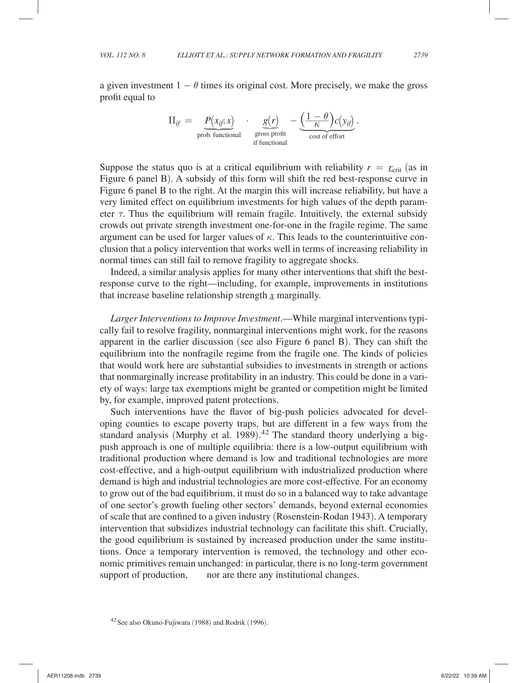a given investment  $1 - \theta$  times its original cost. More precisely, we make the gross profit equal to

$$
\Pi_{if} = \underbrace{P(x_{if}; x)}_{\text{prob. functional}} \cdot \underbrace{g(r)}_{\text{gross profit}} - \underbrace{\left(\frac{1-\theta}{\kappa}\right)c(y_{if})}_{\text{cost of effort}}.
$$

Suppose the status quo is at a critical equilibrium with reliability  $r = r_{\text{crit}}$  (as in Suppose the status quo is at a critical equinorium with remainity  $r = L_{crit}$  (as in Figure 6 panel B). A subsidy of this form will shift the red best-response curve in Figure 6 panel B to the right. At the margin this will increase reliability, but have a very limited effect on equilibrium investments for high values of the depth parameter  $\tau$ . Thus the equilibrium will remain fragile. Intuitively, the external subsidy crowds out private strength investment one-for-one in the fragile regime. The same argument can be used for larger values of  $\kappa$ . This leads to the counterintuitive conclusion that a policy intervention that works well in terms of increasing reliability in normal times can still fail to remove fragility to aggregate shocks.

Indeed, a similar analysis applies for many other interventions that shift the bestresponse curve to the right—including, for example, improvements in institutions that increase baseline relationship strength  $x$  marginally.

*Larger Interventions to Improve Investment*.—While marginal interventions typically fail to resolve fragility, nonmarginal interventions might work, for the reasons apparent in the earlier discussion (see also Figure 6 panel B). They can shift the equilibrium into the nonfragile regime from the fragile one. The kinds of policies that would work here are substantial subsidies to investments in strength or actions that nonmarginally increase profitability in an industry. This could be done in a variety of ways: large tax exemptions might be granted or competition might be limited by, for example, improved patent protections.

Such interventions have the flavor of big-push policies advocated for developing counties to escape poverty traps, but are different in a few ways from the standard analysis (Murphy et al. 1989). 42 The standard theory underlying a bigpush approach is one of multiple equilibria: there is a low-output equilibrium with traditional production where demand is low and traditional technologies are more cost-effective, and a high-output equilibrium with industrialized production where demand is high and industrial technologies are more cost-effective. For an economy to grow out of the bad equilibrium, it must do so in a balanced way to take advantage of one sector's growth fueling other sectors' demands, beyond external economies of scale that are confined to a given industry ( Rosenstein-Rodan 1943). A temporary intervention that subsidizes industrial technology can facilitate this shift. Crucially, the good equilibrium is sustained by increased production under the same institutions. Once a temporary intervention is removed, the technology and other economic primitives remain unchanged: in particular, there is no long-term government support of production, and nor are there any institutional changes.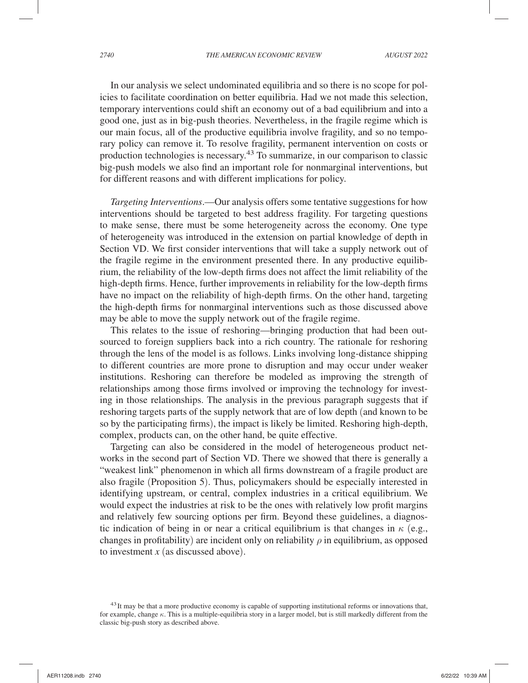In our analysis we select undominated equilibria and so there is no scope for policies to facilitate coordination on better equilibria. Had we not made this selection, temporary interventions could shift an economy out of a bad equilibrium and into a good one, just as in big-push theories. Nevertheless, in the fragile regime which is our main focus, all of the productive equilibria involve fragility, and so no temporary policy can remove it. To resolve fragility, permanent intervention on costs or production technologies is necessary.43 To summarize, in our comparison to classic big-push models we also find an important role for nonmarginal interventions, but for different reasons and with different implications for policy.

*Targeting Interventions*.—Our analysis offers some tentative suggestions for how interventions should be targeted to best address fragility. For targeting questions to make sense, there must be some heterogeneity across the economy. One type of heterogeneity was introduced in the extension on partial knowledge of depth in Section VD. We first consider interventions that will take a supply network out of the fragile regime in the environment presented there. In any productive equilibrium, the reliability of the low-depth firms does not affect the limit reliability of the high-depth firms. Hence, further improvements in reliability for the low-depth firms have no impact on the reliability of high-depth firms. On the other hand, targeting the high-depth firms for nonmarginal interventions such as those discussed above may be able to move the supply network out of the fragile regime.

This relates to the issue of reshoring—bringing production that had been outsourced to foreign suppliers back into a rich country. The rationale for reshoring through the lens of the model is as follows. Links involving long-distance shipping to different countries are more prone to disruption and may occur under weaker institutions. Reshoring can therefore be modeled as improving the strength of relationships among those firms involved or improving the technology for investing in those relationships. The analysis in the previous paragraph suggests that if reshoring targets parts of the supply network that are of low depth (and known to be so by the participating firms), the impact is likely be limited. Reshoring high-depth, complex, products can, on the other hand, be quite effective.

Targeting can also be considered in the model of heterogeneous product networks in the second part of Section VD. There we showed that there is generally a "weakest link" phenomenon in which all firms downstream of a fragile product are also fragile (Proposition 5). Thus, policymakers should be especially interested in identifying upstream, or central, complex industries in a critical equilibrium. We would expect the industries at risk to be the ones with relatively low profit margins and relatively few sourcing options per firm. Beyond these guidelines, a diagnostic indication of being in or near a critical equilibrium is that changes in  $\kappa$  (e.g., changes in profitability) are incident only on reliability  $\rho$  in equilibrium, as opposed to investment *x* (as discussed above).

<sup>&</sup>lt;sup>43</sup>It may be that a more productive economy is capable of supporting institutional reforms or innovations that, for example, change  $\kappa$ . This is a multiple-equilibria story in a larger model, but is still markedly different from the classic big-push story as described above.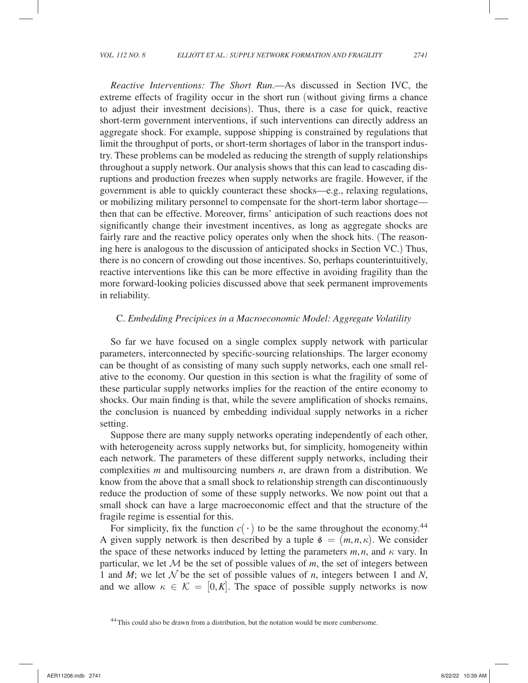*Reactive Interventions: The Short Run*.—As discussed in Section IVC, the extreme effects of fragility occur in the short run (without giving firms a chance to adjust their investment decisions). Thus, there is a case for quick, reactive short-term government interventions, if such interventions can directly address an aggregate shock. For example, suppose shipping is constrained by regulations that limit the throughput of ports, or short-term shortages of labor in the transport industry. These problems can be modeled as reducing the strength of supply relationships throughout a supply network. Our analysis shows that this can lead to cascading disruptions and production freezes when supply networks are fragile. However, if the government is able to quickly counteract these shocks—e.g., relaxing regulations, or mobilizing military personnel to compensate for the short-term labor shortage then that can be effective. Moreover, firms' anticipation of such reactions does not significantly change their investment incentives, as long as aggregate shocks are fairly rare and the reactive policy operates only when the shock hits. (The reasoning here is analogous to the discussion of anticipated shocks in Section VC.) Thus, there is no concern of crowding out those incentives. So, perhaps counterintuitively, reactive interventions like this can be more effective in avoiding fragility than the more forward-looking policies discussed above that seek permanent improvements in reliability.

### C. *Embedding Precipices in a Macroeconomic Model: Aggregate Volatility*

So far we have focused on a single complex supply network with particular parameters, interconnected by specific-sourcing relationships. The larger economy can be thought of as consisting of many such supply networks, each one small relative to the economy. Our question in this section is what the fragility of some of these particular supply networks implies for the reaction of the entire economy to shocks. Our main finding is that, while the severe amplification of shocks remains, the conclusion is nuanced by embedding individual supply networks in a richer setting.

Suppose there are many supply networks operating independently of each other, with heterogeneity across supply networks but, for simplicity, homogeneity within each network. The parameters of these different supply networks, including their complexities *m* and multisourcing numbers *n*, are drawn from a distribution. We know from the above that a small shock to relationship strength can discontinuously reduce the production of some of these supply networks. We now point out that a small shock can have a large macroeconomic effect and that the structure of the fragile regime is essential for this.

For simplicity, fix the function  $c(\cdot)$  to be the same throughout the economy.<sup>44</sup> A given supply network is then described by a tuple  $\hat{\mathfrak{s}} = (m, n, \kappa)$ . We consider the space of these networks induced by letting the parameters  $m, n$ , and  $\kappa$  vary. In particular, we let  $\mathcal M$  be the set of possible values of  $m$ , the set of integers between 1 and *M*; we let  $\mathcal N$  be the set of possible values of *n*, integers between 1 and *N*, and we allow  $\kappa \in \mathcal{K} = [0, K]$ . The space of possible supply networks is now

<sup>&</sup>lt;sup>44</sup> This could also be drawn from a distribution, but the notation would be more cumbersome.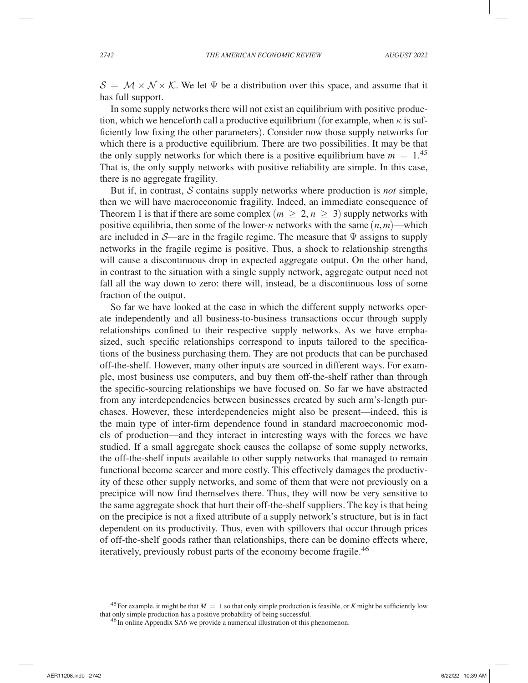$S = \mathcal{M} \times \mathcal{N} \times \mathcal{K}$ . We let  $\Psi$  be a distribution over this space, and assume that it has full support.

In some supply networks there will not exist an equilibrium with positive production, which we henceforth call a productive equilibrium (for example, when  $\kappa$  is sufficiently low fixing the other parameters). Consider now those supply networks for which there is a productive equilibrium. There are two possibilities. It may be that the only supply networks for which there is a positive equilibrium have  $m = 1^{45}$ That is, the only supply networks with positive reliability are simple. In this case, there is no aggregate fragility.

But if, in contrast,  $S$  contains supply networks where production is *not* simple, then we will have macroeconomic fragility. Indeed, an immediate consequence of Theorem 1 is that if there are some complex ( $m \geq 2$ ,  $n \geq 3$ ) supply networks with positive equilibria, then some of the lower- $\kappa$  networks with the same  $(n,m)$ —which are included in  $\mathcal{S}$ —are in the fragile regime. The measure that  $\Psi$  assigns to supply networks in the fragile regime is positive. Thus, a shock to relationship strengths will cause a discontinuous drop in expected aggregate output. On the other hand, in contrast to the situation with a single supply network, aggregate output need not fall all the way down to zero: there will, instead, be a discontinuous loss of some fraction of the output.

So far we have looked at the case in which the different supply networks operate independently and all business-to-business transactions occur through supply relationships confined to their respective supply networks. As we have emphasized, such specific relationships correspond to inputs tailored to the specifications of the business purchasing them. They are not products that can be purchased off-the-shelf. However, many other inputs are sourced in different ways. For example, most business use computers, and buy them off-the-shelf rather than through the specific-sourcing relationships we have focused on. So far we have abstracted from any interdependencies between businesses created by such arm' s-length purchases. However, these interdependencies might also be present—indeed, this is the main type of inter-firm dependence found in standard macroeconomic models of production—and they interact in interesting ways with the forces we have studied. If a small aggregate shock causes the collapse of some supply networks, the off-the-shelf inputs available to other supply networks that managed to remain functional become scarcer and more costly. This effectively damages the productivity of these other supply networks, and some of them that were not previously on a precipice will now find themselves there. Thus, they will now be very sensitive to the same aggregate shock that hurt their off-the-shelf suppliers. The key is that being on the precipice is not a fixed attribute of a supply network's structure, but is in fact dependent on its productivity. Thus, even with spillovers that occur through prices of off-the-shelf goods rather than relationships, there can be domino effects where, iteratively, previously robust parts of the economy become fragile.<sup>46</sup>

<sup>&</sup>lt;sup>45</sup> For example, it might be that  $M = 1$  so that only simple production is feasible, or *K* might be sufficiently low that only simple production has a positive probability of being successful.

<sup>&</sup>lt;sup>46</sup> In online Appendix SA6 we provide a numerical illustration of this phenomenon.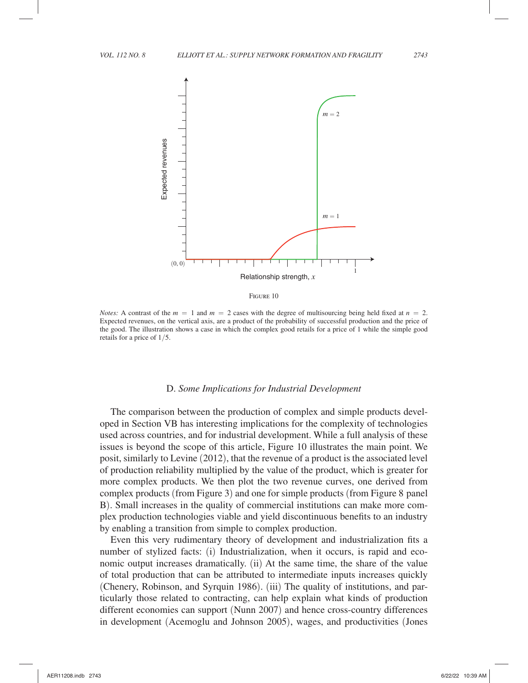

Figure 10

*Notes:* A contrast of the  $m = 1$  and  $m = 2$  cases with the degree of multisourcing being held fixed at  $n = 2$ . Expected revenues, on the vertical axis, are a product of the probability of successful production and the price of the good. The illustration shows a case in which the complex good retails for a price of 1 while the simple good retails for a price of  $1/5$ .

#### D. *Some Implications for Industrial Development*

The comparison between the production of complex and simple products developed in Section VB has interesting implications for the complexity of technologies used across countries, and for industrial development. While a full analysis of these issues is beyond the scope of this article, Figure 10 illustrates the main point. We posit, similarly to Levine (2012), that the revenue of a product is the associated level of production reliability multiplied by the value of the product, which is greater for more complex products. We then plot the two revenue curves, one derived from complex products (from Figure 3) and one for simple products (from Figure 8 panel B). Small increases in the quality of commercial institutions can make more complex production technologies viable and yield discontinuous benefits to an industry by enabling a transition from simple to complex production.

Even this very rudimentary theory of development and industrialization fits a number of stylized facts: (i) Industrialization, when it occurs, is rapid and economic output increases dramatically. (ii) At the same time, the share of the value of total production that can be attributed to intermediate inputs increases quickly (Chenery, Robinson, and Syrquin 1986). (iii) The quality of institutions, and particularly those related to contracting, can help explain what kinds of production different economies can support (Nunn 2007) and hence cross-country differences in development (Acemoglu and Johnson 2005), wages, and productivities (Jones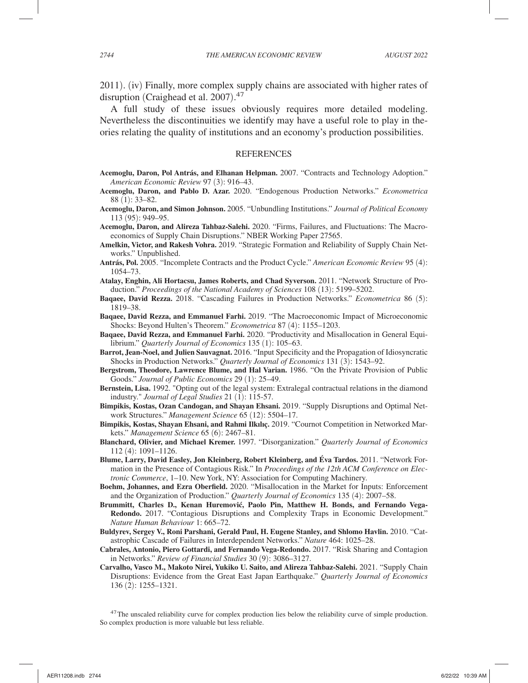2011). (iv) Finally, more complex supply chains are associated with higher rates of disruption (Craighead et al. 2007). 47

A full study of these issues obviously requires more detailed modeling. Nevertheless the discontinuities we identify may have a useful role to play in theories relating the quality of institutions and an economy's production possibilities.

#### **REFERENCES**

- **Acemoglu, Daron, Pol Antrás, and Elhanan Helpman.** 2007. "Contracts and Technology Adoption." *American Economic Review* 97 (3): 916–43.
- **Acemoglu, Daron, and Pablo D. Azar.** 2020. "Endogenous Production Networks." *Econometrica* 88 (1): 33–82.
- **Acemoglu, Daron, and Simon Johnson.** 2005. "Unbundling Institutions." *Journal of Political Economy* 113 (95): 949–95.
- **Acemoglu, Daron, and Alireza Tahbaz-Salehi.** 2020. "Firms, Failures, and Fluctuations: The Macroeconomics of Supply Chain Disruptions." NBER Working Paper 27565.
- **Amelkin, Victor, and Rakesh Vohra.** 2019. "Strategic Formation and Reliability of Supply Chain Networks." Unpublished.
- **Antrás, Pol.** 2005. "Incomplete Contracts and the Product Cycle." *American Economic Review* 95 (4): 1054–73.
- **Atalay, Enghin, Ali Hortacsu, James Roberts, and Chad Syverson.** 2011. "Network Structure of Production." *Proceedings of the National Academy of Sciences* 108 (13): 5199–5202.
- **Baqaee, David Rezza.** 2018. "Cascading Failures in Production Networks." *Econometrica* 86 (5): 1819–38.
- **Baqaee, David Rezza, and Emmanuel Farhi.** 2019. "The Macroeconomic Impact of Microeconomic Shocks: Beyond Hulten's Theorem." *Econometrica* 87 (4): 1155–1203.
- **Baqaee, David Rezza, and Emmanuel Farhi.** 2020. "Productivity and Misallocation in General Equilibrium." *Quarterly Journal of Economics* 135 (1): 105–63.
- **Barrot, Jean-Noel, and Julien Sauvagnat.** 2016. "Input Specificity and the Propagation of Idiosyncratic Shocks in Production Networks." *Quarterly Journal of Economics* 131 (3): 1543–92.
- **Bergstrom, Theodore, Lawrence Blume, and Hal Varian.** 1986. "On the Private Provision of Public Goods." *Journal of Public Economics* 29 (1): 25–49.
- **Bernstein, Lisa.** 1992. "Opting out of the legal system: Extralegal contractual relations in the diamond industry." *Journal of Legal Studies* 21 (1): 115-57.
- **Bimpikis, Kostas, Ozan Candogan, and Shayan Ehsani.** 2019. "Supply Disruptions and Optimal Network Structures." *Management Science* 65 (12): 5504–17.
- **Bimpikis, Kostas, Shayan Ehsani, and Rahmi Ilkılıç.** 2019. "Cournot Competition in Networked Markets." *Management Science* 65 (6): 2467–81.
- **Blanchard, Olivier, and Michael Kremer.** 1997. "Disorganization." *Quarterly Journal of Economics* 112 (4): 1091–1126.
- **Blume, Larry, David Easley, Jon Kleinberg, Robert Kleinberg, and Éva Tardos.** 2011. "Network Formation in the Presence of Contagious Risk." In *Proceedings of the 12th ACM Conference on Electronic Commerce*, 1–10. New York, NY: Association for Computing Machinery.
- **Boehm, Johannes, and Ezra Oberfield.** 2020. "Misallocation in the Market for Inputs: Enforcement and the Organization of Production." *Quarterly Journal of Economics* 135 (4): 2007–58.
- Brummitt, Charles D., Kenan Huremović, Paolo Pin, Matthew H. Bonds, and Fernando Vega-**Redondo.** 2017. "Contagious Disruptions and Complexity Traps in Economic Development." *Nature Human Behaviour* 1: 665–72.
- **Buldyrev, Sergey V., Roni Parshani, Gerald Paul, H. Eugene Stanley, and Shlomo Havlin.** 2010. "Catastrophic Cascade of Failures in Interdependent Networks." *Nature* 464: 1025–28.
- **Cabrales, Antonio, Piero Gottardi, and Fernando Vega-Redondo.** 2017. "Risk Sharing and Contagion in Networks." *Review of Financial Studies* 30 (9): 3086–3127.
- **Carvalho, Vasco M., Makoto Nirei, Yukiko U. Saito, and Alireza Tahbaz-Salehi.** 2021. "Supply Chain Disruptions: Evidence from the Great East Japan Earthquake." *Quarterly Journal of Economics* 136 (2): 1255–1321.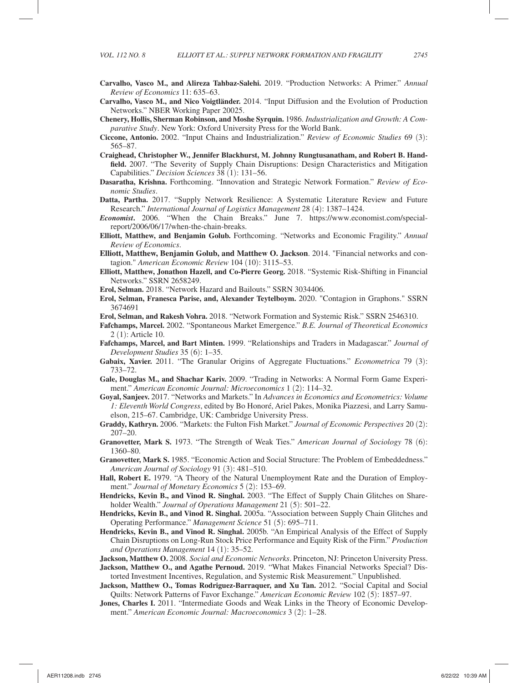- **Carvalho, Vasco M., and Alireza Tahbaz-Salehi.** 2019. "Production Networks: A Primer." *Annual Review of Economics* 11: 635–63.
- **Carvalho, Vasco M., and Nico Voigtländer.** 2014. "Input Diffusion and the Evolution of Production Networks." NBER Working Paper 20025.
- **Chenery, Hollis, Sherman Robinson, and Moshe Syrquin.** 1986. *Industrialization and Growth: A Comparative Study*. New York: Oxford University Press for the World Bank.
- **Ciccone, Antonio.** 2002. "Input Chains and Industrialization." *Review of Economic Studies* 69 (3): 565–87.
- **Craighead, Christopher W., Jennifer Blackhurst, M. Johnny Rungtusanatham, and Robert B. Handfield.** 2007. "The Severity of Supply Chain Disruptions: Design Characteristics and Mitigation Capabilities." *Decision Sciences* 38 (1): 131–56.
- **Dasaratha, Krishna.** Forthcoming. "Innovation and Strategic Network Formation." *Review of Economic Studies*.
- **Datta, Partha.** 2017. "Supply Network Resilience: A Systematic Literature Review and Future Research." *International Journal of Logistics Management* 28 (4): 1387–1424.
- *Economist***.** 2006. "When the Chain Breaks." June 7. https://www.economist.com/specialreport/2006/06/17/when-the-chain-breaks.
- **Elliott, Matthew, and Benjamin Golub.** Forthcoming. "Networks and Economic Fragility." *Annual Review of Economics*.
- **Elliott, Matthew, Benjamin Golub, and Matthew O. Jackson**. 2014. "Financial networks and contagion." *American Economic Review* 104 (10): 3115–53.
- **Elliott, Matthew, Jonathon Hazell, and Co-Pierre Georg.** 2018. "Systemic Risk-Shifting in Financial Networks." SSRN 2658249.
- **Erol, Selman.** 2018. "Network Hazard and Bailouts." SSRN 3034406.
- **Erol, Selman, Franesca Parise, and, Alexander Teytelboym.** 2020. "Contagion in Graphons." SSRN 3674691
- **Erol, Selman, and Rakesh Vohra.** 2018. "Network Formation and Systemic Risk." SSRN 2546310.
- **Fafchamps, Marcel.** 2002. "Spontaneous Market Emergence." *B.E. Journal of Theoretical Economics* 2 (1): Article 10.
- **Fafchamps, Marcel, and Bart Minten.** 1999. "Relationships and Traders in Madagascar." *Journal of Development Studies* 35 (6): 1–35.
- **Gabaix, Xavier.** 2011. "The Granular Origins of Aggregate Fluctuations." *Econometrica* 79 (3): 733–72.
- **Gale, Douglas M., and Shachar Kariv.** 2009. "Trading in Networks: A Normal Form Game Experiment." *American Economic Journal: Microeconomics* 1 (2): 114–32.
- **Goyal, Sanjeev.** 2017. "Networks and Markets." In *Advances in Economics and Econometrics: Volume 1: Eleventh World Congress*, edited by Bo Honoré, Ariel Pakes, Monika Piazzesi, and Larry Samuelson, 215–67. Cambridge, UK: Cambridge University Press.
- **Graddy, Kathryn.** 2006. "Markets: the Fulton Fish Market." *Journal of Economic Perspectives* 20 (2): 207–20.
- **Granovetter, Mark S.** 1973. "The Strength of Weak Ties." *American Journal of Sociology* 78 (6): 1360–80.
- **Granovetter, Mark S.** 1985. "Economic Action and Social Structure: The Problem of Embeddedness." *American Journal of Sociology* 91 (3): 481–510.
- **Hall, Robert E.** 1979. "A Theory of the Natural Unemployment Rate and the Duration of Employment." *Journal of Monetary Economics* 5 (2): 153–69.
- **Hendricks, Kevin B., and Vinod R. Singhal.** 2003. "The Effect of Supply Chain Glitches on Shareholder Wealth." *Journal of Operations Management* 21 (5): 501–22.
- **Hendricks, Kevin B., and Vinod R. Singhal.** 2005a. "Association between Supply Chain Glitches and Operating Performance." *Management Science* 51 (5): 695–711.
- **Hendricks, Kevin B., and Vinod R. Singhal.** 2005b. "An Empirical Analysis of the Effect of Supply Chain Disruptions on Long-Run Stock Price Performance and Equity Risk of the Firm." *Production and Operations Management* 14 (1): 35–52.
- **Jackson, Matthew O.** 2008. *Social and Economic Networks*. Princeton, NJ: Princeton University Press.
- **Jackson, Matthew O., and Agathe Pernoud.** 2019. "What Makes Financial Networks Special? Distorted Investment Incentives, Regulation, and Systemic Risk Measurement." Unpublished.
- Jackson, Matthew O., Tomas Rodriguez-Barraquer, and Xu Tan. 2012. "Social Capital and Social Quilts: Network Patterns of Favor Exchange." *American Economic Review* 102 (5): 1857–97.
- **Jones, Charles I.** 2011. "Intermediate Goods and Weak Links in the Theory of Economic Development." *American Economic Journal: Macroeconomics* 3 (2): 1–28.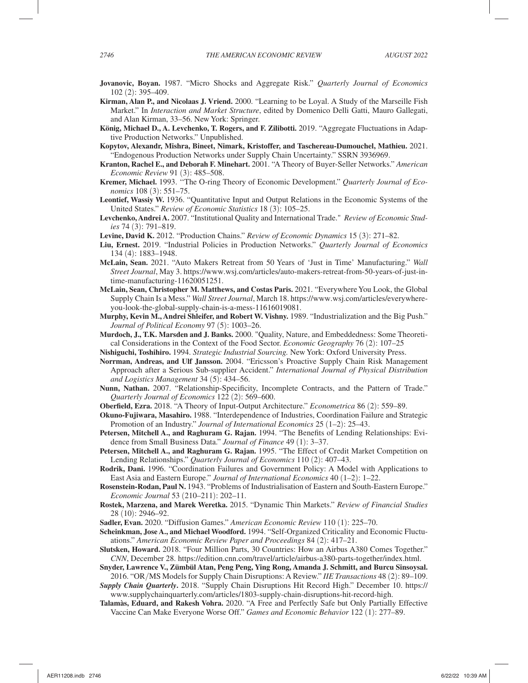- **Jovanovic, Boyan.** 1987. "Micro Shocks and Aggregate Risk." *Quarterly Journal of Economics* 102 (2): 395–409.
- **Kirman, Alan P., and Nicolaas J. Vriend.** 2000. "Learning to be Loyal. A Study of the Marseille Fish Market." In *Interaction and Market Structure*, edited by Domenico Delli Gatti, Mauro Gallegati, and Alan Kirman, 33–56. New York: Springer.
- **König, Michael D., A. Levchenko, T. Rogers, and F. Zilibotti.** 2019. "Aggregate Fluctuations in Adaptive Production Networks." Unpublished.
- **Kopytov, Alexandr, Mishra, Bineet, Nimark, Kristoffer, and Taschereau-Dumouchel, Mathieu.** 2021. "Endogenous Production Networks under Supply Chain Uncertainty." SSRN 3936969.
- **Kranton, Rachel E., and Deborah F. Minehart.** 2001. "A Theory of Buyer-Seller Networks." *American Economic Review* 91 (3): 485–508.
- **Kremer, Michael.** 1993. ''The O-ring Theory of Economic Development." *Quarterly Journal of Economics* 108 (3): 551–75.
- **Leontief, Wassiy W.** 1936. "Quantitative Input and Output Relations in the Economic Systems of the United States." *Review of Economic Statistics* 18 (3): 105–25.
- **Levchenko, Andrei A.** 2007. "Institutional Quality and International Trade." *Review of Economic Studies* 74 (3): 791–819.
- **Levine, David K.** 2012. "Production Chains." *Review of Economic Dynamics* 15 (3): 271–82.
- **Liu, Ernest.** 2019. "Industrial Policies in Production Networks." *Quarterly Journal of Economics* 134 (4): 1883–1948.
- **McLain, Sean.** 2021. "Auto Makers Retreat from 50 Years of 'Just in Time' Manufacturing." *Wall Street Journal*, May 3. https://www.wsj.com/articles/auto-makers-retreat-from-50-years-of-just-intime-manufacturing-11620051251.
- **McLain, Sean, Christopher M. Matthews, and Costas Paris.** 2021. "Everywhere You Look, the Global Supply Chain Is a Mess." *Wall Street Journal*, March 18. https://www.wsj.com/articles/everywhereyou-look-the-global-supply-chain-is-a-mess-11616019081.
- **Murphy, Kevin M., Andrei Shleifer, and Robert W. Vishny.** 1989. "Industrialization and the Big Push." *Journal of Political Economy* 97 (5): 1003–26.
- **Murdoch, J., T.K. Marsden and J. Banks.** 2000. "Quality, Nature, and Embeddedness: Some Theoretical Considerations in the Context of the Food Sector. *Economic Geography* 76 (2): 107–25
- **Nishiguchi, Toshihiro.** 1994. *Strategic Industrial Sourcing.* New York: Oxford University Press.
- **Norrman, Andreas, and Ulf Jansson.** 2004. "Ericsson's Proactive Supply Chain Risk Management Approach after a Serious Sub-supplier Accident." *International Journal of Physical Distribution and Logistics Management* 34 (5): 434–56.
- **Nunn, Nathan.** 2007. "Relationship-Specificity, Incomplete Contracts, and the Pattern of Trade." *Quarterly Journal of Economics* 122 (2): 569–600.
- **Oberfield, Ezra.** 2018. "A Theory of Input-Output Architecture." *Econometrica* 86 (2): 559–89.
- **Okuno-Fujiwara, Masahiro.** 1988. "Interdependence of Industries, Coordination Failure and Strategic Promotion of an Industry." *Journal of International Economics* 25 (1–2): 25–43.
- **Petersen, Mitchell A., and Raghuram G. Rajan.** 1994. "The Benefits of Lending Relationships: Evidence from Small Business Data." *Journal of Finance* 49 (1): 3–37.
- **Petersen, Mitchell A., and Raghuram G. Rajan.** 1995. "The Effect of Credit Market Competition on Lending Relationships." *Quarterly Journal of Economics* 110 (2): 407–43.
- **Rodrik, Dani.** 1996. "Coordination Failures and Government Policy: A Model with Applications to East Asia and Eastern Europe." *Journal of International Economics* 40 (1–2): 1–22.
- **Rosenstein-Rodan, Paul N.** 1943. "Problems of Industrialisation of Eastern and South-Eastern Europe." *Economic Journal* 53 (210–211): 202–11.
- **Rostek, Marzena, and Marek Weretka.** 2015. "Dynamic Thin Markets." *Review of Financial Studies* 28 (10): 2946–92.
- **Sadler, Evan.** 2020. "Diffusion Games." *American Economic Review* 110 (1): 225–70.
- **Scheinkman, Jose A., and Michael Woodford.** 1994. "Self-Organized Criticality and Economic Fluctuations." *American Economic Review Paper and Proceedings* 84 (2): 417–21.
- **Slutsken, Howard.** 2018. "Four Million Parts, 30 Countries: How an Airbus A380 Comes Together." *CNN*, December 28. https://edition.cnn.com/travel/article/airbus-a380-parts-together/index.html.
- **Snyder, Lawrence V., Zümbül Atan, Peng Peng, Ying Rong, Amanda J. Schmitt, and Burcu Sinsoysal.**  2016. "OR/MS Models for Supply Chain Disruptions: A Review." *IIE Transactions* 48 (2): 89–109.

*Supply Chain Quarterly***.** 2018. "Supply Chain Disruptions Hit Record High." December 10. https:// www.supplychainquarterly.com/articles/1803-supply-chain-disruptions-hit-record-high.

**Talamàs, Eduard, and Rakesh Vohra.** 2020. "A Free and Perfectly Safe but Only Partially Effective Vaccine Can Make Everyone Worse Off." *Games and Economic Behavior* 122 (1): 277–89.